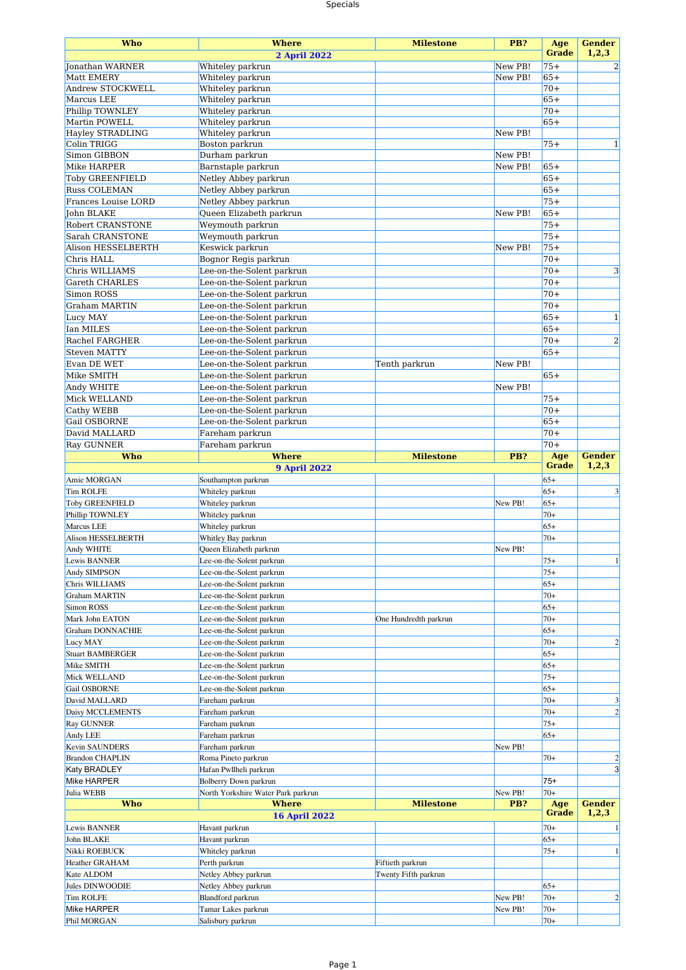## Specials

| <b>Who</b>                          | <b>Where</b>                                           | <b>Milestone</b>      | PB?                | Age          | <b>Gender</b>  |
|-------------------------------------|--------------------------------------------------------|-----------------------|--------------------|--------------|----------------|
|                                     | <b>2 April 2022</b>                                    |                       |                    | <b>Grade</b> | 1,2,3          |
| <b>Jonathan WARNER</b>              | Whiteley parkrun                                       |                       | New PB!            | $75+$        | $\overline{2}$ |
| Matt EMERY                          | Whiteley parkrun                                       |                       | New PB!            | $65+$        |                |
| Andrew STOCKWELL                    | Whiteley parkrun                                       |                       |                    | $70+$        |                |
| Marcus LEE                          | Whiteley parkrun                                       |                       |                    | $65+$        |                |
| Phillip TOWNLEY                     | Whiteley parkrun                                       |                       |                    | $70+$        |                |
| Martin POWELL                       | Whiteley parkrun                                       |                       |                    | $65+$        |                |
| <b>Hayley STRADLING</b>             | Whiteley parkrun                                       |                       | New PB!            |              |                |
| Colin TRIGG                         | Boston parkrun                                         |                       |                    | $75+$        | 1              |
| Simon GIBBON                        | Durham parkrun                                         |                       | New PB!            |              |                |
| Mike HARPER                         | Barnstaple parkrun                                     |                       | New PB!            | $65+$        |                |
| <b>Toby GREENFIELD</b>              | Netley Abbey parkrun                                   |                       |                    | $65+$        |                |
| <b>Russ COLEMAN</b>                 | Netley Abbey parkrun                                   |                       |                    | $65+$        |                |
| <b>Frances Louise LORD</b>          | Netley Abbey parkrun                                   |                       |                    | $75+$        |                |
| John BLAKE                          | Queen Elizabeth parkrun                                |                       | New PB!            | $65+$        |                |
| Robert CRANSTONE                    | Weymouth parkrun                                       |                       |                    | $75+$        |                |
| Sarah CRANSTONE                     | Weymouth parkrun                                       |                       |                    | $75+$        |                |
| Alison HESSELBERTH                  | Keswick parkrun                                        |                       | New PB!            | $75+$        |                |
| Chris HALL                          | Bognor Regis parkrun                                   |                       |                    | $70+$        |                |
|                                     |                                                        |                       |                    | $70+$        | 3              |
| Chris WILLIAMS                      | Lee-on-the-Solent parkrun                              |                       |                    |              |                |
| <b>Gareth CHARLES</b>               | Lee-on-the-Solent parkrun                              |                       |                    | $70+$        |                |
| Simon ROSS                          | Lee-on-the-Solent parkrun                              |                       |                    | $70+$        |                |
| <b>Graham MARTIN</b>                | Lee-on-the-Solent parkrun                              |                       |                    | $70+$        |                |
| Lucy MAY                            | Lee-on-the-Solent parkrun                              |                       |                    | $65+$        | $\mathbf{1}$   |
| <b>Ian MILES</b>                    | Lee-on-the-Solent parkrun                              |                       |                    | $65+$        |                |
| <b>Rachel FARGHER</b>               | Lee-on-the-Solent parkrun                              |                       |                    | $70+$        | $\overline{c}$ |
| <b>Steven MATTY</b>                 | Lee-on-the-Solent parkrun                              |                       |                    | $65+$        |                |
| Evan DE WET                         | Lee-on-the-Solent parkrun                              | Tenth parkrun         | New PB!            |              |                |
| Mike SMITH                          | Lee-on-the-Solent parkrun                              |                       |                    | $65+$        |                |
| Andy WHITE                          | Lee-on-the-Solent parkrun                              |                       | New PB!            |              |                |
| Mick WELLAND                        | Lee-on-the-Solent parkrun                              |                       |                    | $75+$        |                |
| Cathy WEBB                          | Lee-on-the-Solent parkrun                              |                       |                    | $70+$        |                |
| Gail OSBORNE                        | Lee-on-the-Solent parkrun                              |                       |                    | $65+$        |                |
| David MALLARD                       | Fareham parkrun                                        |                       |                    | $70+$        |                |
| <b>Ray GUNNER</b>                   | Fareham parkrun                                        |                       |                    | $70+$        |                |
| Who                                 | <b>Where</b>                                           | <b>Milestone</b>      | PB?                | Age          | <b>Gender</b>  |
|                                     | <b>9 April 2022</b>                                    |                       |                    | Grade        | 1,2,3          |
|                                     |                                                        |                       |                    |              |                |
|                                     |                                                        |                       |                    |              |                |
| Amie MORGAN                         | Southampton parkrun                                    |                       |                    | $65+$        |                |
| <b>Tim ROLFE</b>                    | Whiteley parkrun                                       |                       |                    | $65+$        | 3              |
| <b>Toby GREENFIELD</b>              | Whiteley parkrun                                       |                       | New PB!            | $65+$        |                |
| Phillip TOWNLEY                     | Whiteley parkrun                                       |                       |                    | $70+$        |                |
| Marcus LEE                          | Whiteley parkrun                                       |                       |                    | $65+$        |                |
| <b>Alison HESSELBERTH</b>           | Whitley Bay parkrun                                    |                       |                    | $70+$        |                |
| Andy WHITE                          | Queen Elizabeth parkrun                                |                       | New PB!            |              |                |
| Lewis BANNER                        | Lee-on-the-Solent parkrun                              |                       |                    | $75+$        | 1              |
| Andy SIMPSON                        | Lee-on-the-Solent parkrun                              |                       |                    | $75+$        |                |
| Chris WILLIAMS                      | Lee-on-the-Solent parkrun                              |                       |                    | $65+$        |                |
| <b>Graham MARTIN</b>                | Lee-on-the-Solent parkrun                              |                       |                    | $70+$        |                |
| Simon ROSS                          | Lee-on-the-Solent parkrun                              |                       |                    | $65+$        |                |
| Mark John EATON                     |                                                        |                       |                    | $70+$        |                |
|                                     | Lee-on-the-Solent parkrun                              | One Hundredth parkrun |                    | $65+$        |                |
| <b>Graham DONNACHIE</b><br>Lucy MAY | Lee-on-the-Solent parkrun<br>Lee-on-the-Solent parkrun |                       |                    | $70+$        | $\overline{2}$ |
|                                     |                                                        |                       |                    |              |                |
| <b>Stuart BAMBERGER</b>             | Lee-on-the-Solent parkrun                              |                       |                    | $65+$        |                |
| Mike SMITH                          | Lee-on-the-Solent parkrun                              |                       |                    | $65+$        |                |
| Mick WELLAND                        | Lee-on-the-Solent parkrun                              |                       |                    | $75+$        |                |
| Gail OSBORNE                        | Lee-on-the-Solent parkrun                              |                       |                    | $65+$        |                |
| David MALLARD                       | Fareham parkrun                                        |                       |                    | $70+$        | 3              |
| Daisy MCCLEMENTS                    | Fareham parkrun                                        |                       |                    | $70+$        | $\overline{2}$ |
| <b>Ray GUNNER</b>                   | Fareham parkrun                                        |                       |                    | $75+$        |                |
| Andy LEE                            | Fareham parkrun                                        |                       |                    | $65+$        |                |
| Kevin SAUNDERS                      | Fareham parkrun                                        |                       | New PB!            |              |                |
| <b>Brandon CHAPLIN</b>              | Roma Pineto parkrun                                    |                       |                    | $70+$        | $\overline{2}$ |
| <b>Katy BRADLEY</b>                 | Hafan Pwllheli parkrun                                 |                       |                    |              | $\overline{3}$ |
| Mike HARPER                         | Bolberry Down parkrun                                  |                       |                    | $75+$        |                |
| Julia WEBB                          | North Yorkshire Water Park parkrun                     |                       | New PB!            | $70+$        |                |
| Who                                 | <b>Where</b>                                           | <b>Milestone</b>      | PB?                | Age          | <b>Gender</b>  |
|                                     | <b>16 April 2022</b>                                   |                       |                    | <b>Grade</b> | 1,2,3          |
| Lewis BANNER                        | Havant parkrun                                         |                       |                    | $70+$        | 1              |
| John BLAKE                          | Havant parkrun                                         |                       |                    | $65+$        |                |
| Nikki ROEBUCK                       | Whiteley parkrun                                       |                       |                    | $75+$        | 1              |
| <b>Heather GRAHAM</b>               | Perth parkrun                                          | Fiftieth parkrun      |                    |              |                |
| Kate ALDOM                          |                                                        | Twenty Fifth parkrun  |                    |              |                |
| Jules DINWOODIE                     | Netley Abbey parkrun<br>Netley Abbey parkrun           |                       |                    | $65+$        |                |
|                                     |                                                        |                       |                    | $70+$        | $\overline{2}$ |
| <b>Tim ROLFE</b><br>Mike HARPER     | Blandford parkrun<br>Tamar Lakes parkrun               |                       | New PB!<br>New PB! | $70+$        |                |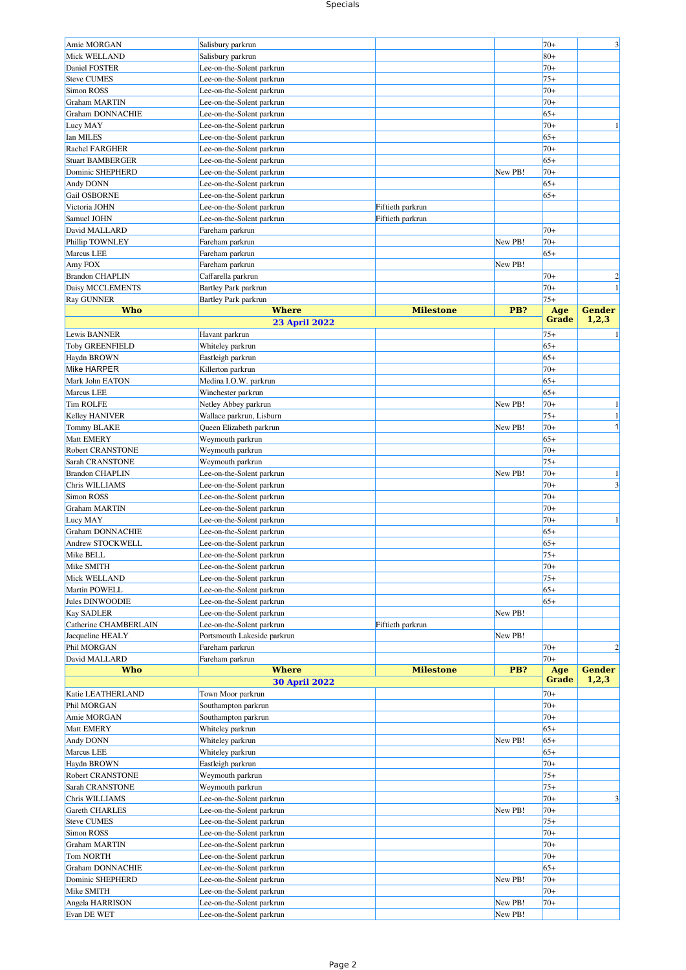## Specials

| Amie MORGAN             | Salisbury parkrun           |                  |         | $70+$        | 3              |
|-------------------------|-----------------------------|------------------|---------|--------------|----------------|
| Mick WELLAND            | Salisbury parkrun           |                  |         | $80+$        |                |
| Daniel FOSTER           | Lee-on-the-Solent parkrun   |                  |         | $70+$        |                |
| <b>Steve CUMES</b>      | Lee-on-the-Solent parkrun   |                  |         | $75+$        |                |
| Simon ROSS              | Lee-on-the-Solent parkrun   |                  |         | $70+$        |                |
| <b>Graham MARTIN</b>    | Lee-on-the-Solent parkrun   |                  |         | $70+$        |                |
| <b>Graham DONNACHIE</b> | Lee-on-the-Solent parkrun   |                  |         | $65+$        |                |
|                         |                             |                  |         | $70+$        |                |
| Lucy MAY                | Lee-on-the-Solent parkrun   |                  |         |              |                |
| Ian MILES               | Lee-on-the-Solent parkrun   |                  |         | $65+$        |                |
| Rachel FARGHER          | Lee-on-the-Solent parkrun   |                  |         | $70+$        |                |
| <b>Stuart BAMBERGER</b> | Lee-on-the-Solent parkrun   |                  |         | $65+$        |                |
| Dominic SHEPHERD        | Lee-on-the-Solent parkrun   |                  | New PB! | $70+$        |                |
| Andy DONN               | Lee-on-the-Solent parkrun   |                  |         | $65+$        |                |
| Gail OSBORNE            | Lee-on-the-Solent parkrun   |                  |         | $65+$        |                |
| Victoria JOHN           | Lee-on-the-Solent parkrun   | Fiftieth parkrun |         |              |                |
| Samuel JOHN             | Lee-on-the-Solent parkrun   | Fiftieth parkrun |         |              |                |
|                         |                             |                  |         | $70+$        |                |
| David MALLARD           | Fareham parkrun             |                  |         |              |                |
| Phillip TOWNLEY         | Fareham parkrun             |                  | New PB! | $70+$        |                |
| Marcus LEE              | Fareham parkrun             |                  |         | $65+$        |                |
| Amy FOX                 | Fareham parkrun             |                  | New PB! |              |                |
| <b>Brandon CHAPLIN</b>  | Caffarella parkrun          |                  |         | $70+$        | $\overline{2}$ |
| Daisy MCCLEMENTS        | Bartley Park parkrun        |                  |         | $70+$        | 1              |
| Ray GUNNER              | Bartley Park parkrun        |                  |         | $75+$        |                |
| <b>Who</b>              | <b>Where</b>                | <b>Milestone</b> | PB?     | Age          | <b>Gender</b>  |
|                         | <b>23 April 2022</b>        |                  |         | <b>Grade</b> | 1,2,3          |
|                         |                             |                  |         |              |                |
| Lewis BANNER            | Havant parkrun              |                  |         | $75+$        |                |
| <b>Toby GREENFIELD</b>  | Whiteley parkrun            |                  |         | $65+$        |                |
| Haydn BROWN             | Eastleigh parkrun           |                  |         | $65+$        |                |
| Mike HARPER             | Killerton parkrun           |                  |         | $70+$        |                |
| Mark John EATON         | Medina I.O.W. parkrun       |                  |         | $65+$        |                |
| <b>Marcus LEE</b>       | Winchester parkrun          |                  |         | $65+$        |                |
| <b>Tim ROLFE</b>        | Netley Abbey parkrun        |                  | New PB! | $70+$        |                |
| <b>Kelley HANIVER</b>   | Wallace parkrun, Lisburn    |                  |         | $75+$        |                |
| Tommy BLAKE             | Queen Elizabeth parkrun     |                  | New PB! | $70+$        | 1              |
|                         |                             |                  |         |              |                |
| Matt EMERY              | Weymouth parkrun            |                  |         | $65+$        |                |
| <b>Robert CRANSTONE</b> | Weymouth parkrun            |                  |         | $70+$        |                |
| Sarah CRANSTONE         | Weymouth parkrun            |                  |         | $75+$        |                |
| <b>Brandon CHAPLIN</b>  | Lee-on-the-Solent parkrun   |                  | New PB! | $70+$        |                |
| Chris WILLIAMS          | Lee-on-the-Solent parkrun   |                  |         | $70+$        | 3              |
| Simon ROSS              | Lee-on-the-Solent parkrun   |                  |         |              |                |
|                         |                             |                  |         | $70+$        |                |
|                         |                             |                  |         |              |                |
| <b>Graham MARTIN</b>    | Lee-on-the-Solent parkrun   |                  |         | $70+$        |                |
| Lucy MAY                | Lee-on-the-Solent parkrun   |                  |         | $70+$        | -1             |
| <b>Graham DONNACHIE</b> | Lee-on-the-Solent parkrun   |                  |         | $65+$        |                |
| Andrew STOCKWELL        | Lee-on-the-Solent parkrun   |                  |         | $65+$        |                |
| Mike BELL               | Lee-on-the-Solent parkrun   |                  |         | $75+$        |                |
| Mike SMITH              | Lee-on-the-Solent parkrun   |                  |         | $70+$        |                |
| Mick WELLAND            | Lee-on-the-Solent parkrun   |                  |         | $75+$        |                |
| Martin POWELL           | Lee-on-the-Solent parkrun   |                  |         | $65+$        |                |
| Jules DINWOODIE         |                             |                  |         | $65+$        |                |
|                         | Lee-on-the-Solent parkrun   |                  |         |              |                |
| <b>Kay SADLER</b>       | Lee-on-the-Solent parkrun   |                  | New PB! |              |                |
| Catherine CHAMBERLAIN   | Lee-on-the-Solent parkrun   | Fiftieth parkrun |         |              |                |
| Jacqueline HEALY        | Portsmouth Lakeside parkrun |                  | New PB! |              |                |
| Phil MORGAN             | Fareham parkrun             |                  |         | $70+$        | $\overline{2}$ |
| David MALLARD           | Fareham parkrun             |                  |         | $70+$        |                |
| <b>Who</b>              | <b>Where</b>                | <b>Milestone</b> | PB?     | Age          | <b>Gender</b>  |
|                         | <b>30 April 2022</b>        |                  |         | Grade        | 1,2,3          |
| Katie LEATHERLAND       | Town Moor parkrun           |                  |         | $70+$        |                |
| Phil MORGAN             | Southampton parkrun         |                  |         | $70+$        |                |
| Amie MORGAN             |                             |                  |         | $70+$        |                |
|                         | Southampton parkrun         |                  |         |              |                |
| Matt EMERY              | Whiteley parkrun            |                  |         | $65+$        |                |
| Andy DONN               | Whiteley parkrun            |                  | New PB! | $65+$        |                |
| Marcus LEE              | Whiteley parkrun            |                  |         | $65+$        |                |
| Haydn BROWN             | Eastleigh parkrun           |                  |         | $70+$        |                |
| Robert CRANSTONE        | Weymouth parkrun            |                  |         | $75+$        |                |
| Sarah CRANSTONE         | Weymouth parkrun            |                  |         | $75+$        |                |
| Chris WILLIAMS          | Lee-on-the-Solent parkrun   |                  |         | $70+$        | 3              |
| <b>Gareth CHARLES</b>   | Lee-on-the-Solent parkrun   |                  | New PB! | $70+$        |                |
|                         |                             |                  |         | $75+$        |                |
| <b>Steve CUMES</b>      | Lee-on-the-Solent parkrun   |                  |         |              |                |
| Simon ROSS              | Lee-on-the-Solent parkrun   |                  |         | $70+$        |                |
| <b>Graham MARTIN</b>    | Lee-on-the-Solent parkrun   |                  |         | $70+$        |                |
| <b>Tom NORTH</b>        | Lee-on-the-Solent parkrun   |                  |         | $70+$        |                |
| Graham DONNACHIE        | Lee-on-the-Solent parkrun   |                  |         | $65+$        |                |
| Dominic SHEPHERD        | Lee-on-the-Solent parkrun   |                  | New PB! | $70+$        |                |
| Mike SMITH              | Lee-on-the-Solent parkrun   |                  |         | $70+$        |                |
| Angela HARRISON         | Lee-on-the-Solent parkrun   |                  | New PB! | $70+$        |                |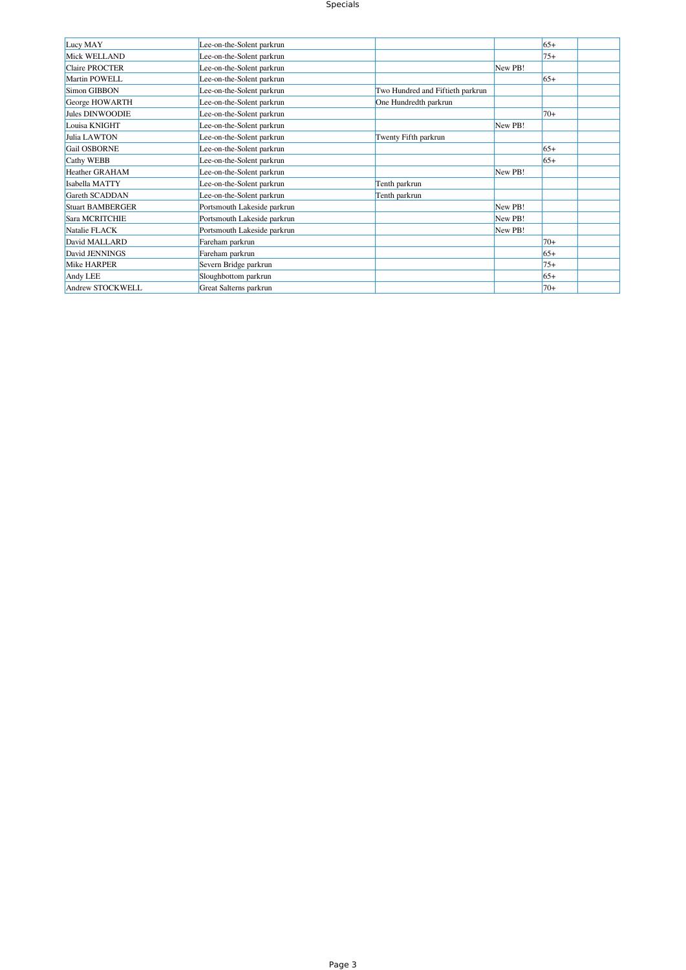## Specials

| Lucy MAY                | Lee-on-the-Solent parkrun   |                                  |         | $65+$ |  |
|-------------------------|-----------------------------|----------------------------------|---------|-------|--|
| Mick WELLAND            | Lee-on-the-Solent parkrun   |                                  |         | $75+$ |  |
| <b>Claire PROCTER</b>   | Lee-on-the-Solent parkrun   |                                  | New PB! |       |  |
| Martin POWELL           | Lee-on-the-Solent parkrun   |                                  |         | $65+$ |  |
| Simon GIBBON            | Lee-on-the-Solent parkrun   | Two Hundred and Fiftieth parkrun |         |       |  |
| George HOWARTH          | Lee-on-the-Solent parkrun   | One Hundredth parkrun            |         |       |  |
| Jules DINWOODIE         | Lee-on-the-Solent parkrun   |                                  |         | $70+$ |  |
| Louisa KNIGHT           | Lee-on-the-Solent parkrun   |                                  | New PB! |       |  |
| Julia LAWTON            | Lee-on-the-Solent parkrun   | Twenty Fifth parkrun             |         |       |  |
| Gail OSBORNE            | Lee-on-the-Solent parkrun   |                                  |         | $65+$ |  |
| <b>Cathy WEBB</b>       | Lee-on-the-Solent parkrun   |                                  |         | $65+$ |  |
| <b>Heather GRAHAM</b>   | Lee-on-the-Solent parkrun   |                                  | New PB! |       |  |
| Isabella MATTY          | Lee-on-the-Solent parkrun   | Tenth parkrun                    |         |       |  |
| Gareth SCADDAN          | Lee-on-the-Solent parkrun   | Tenth parkrun                    |         |       |  |
| <b>Stuart BAMBERGER</b> | Portsmouth Lakeside parkrun |                                  | New PB! |       |  |
| Sara MCRITCHIE          | Portsmouth Lakeside parkrun |                                  | New PB! |       |  |
| Natalie FLACK           | Portsmouth Lakeside parkrun |                                  | New PB! |       |  |
| David MALLARD           | Fareham parkrun             |                                  |         | $70+$ |  |
| David JENNINGS          | Fareham parkrun             |                                  |         | $65+$ |  |
| Mike HARPER             | Severn Bridge parkrun       |                                  |         | $75+$ |  |
| Andy LEE                | Sloughbottom parkrun        |                                  |         | $65+$ |  |
| Andrew STOCKWELL        | Great Salterns parkrun      |                                  |         | $70+$ |  |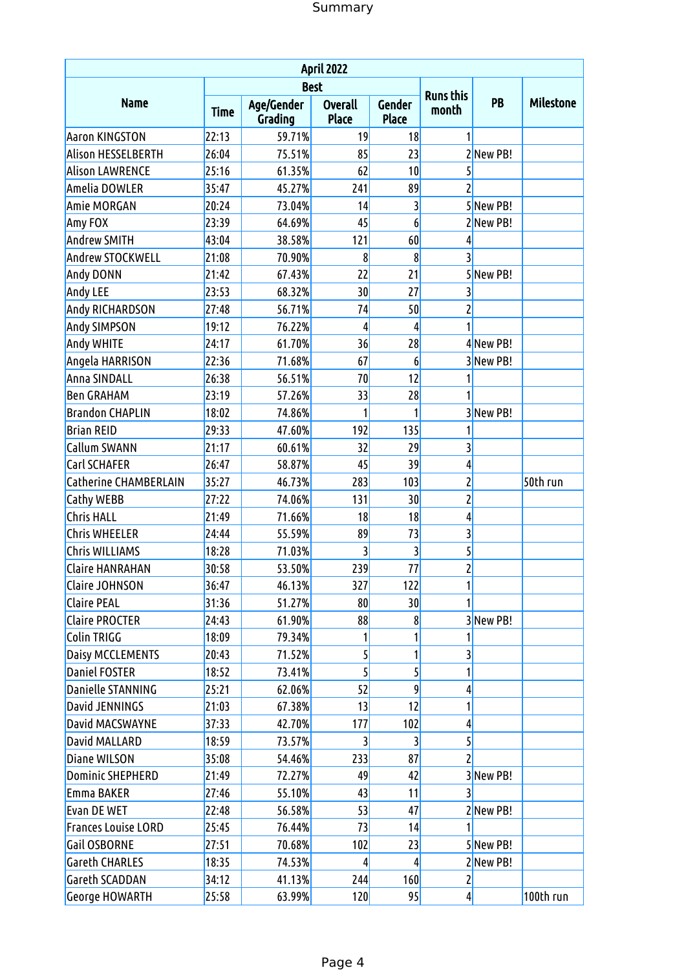| April 2022                   |             |                       |                                |                 |                           |           |                  |  |  |  |  |
|------------------------------|-------------|-----------------------|--------------------------------|-----------------|---------------------------|-----------|------------------|--|--|--|--|
|                              |             | <b>Best</b>           |                                |                 |                           |           |                  |  |  |  |  |
| <b>Name</b>                  | <b>Time</b> | Age/Gender<br>Grading | <b>Overall</b><br><b>Place</b> | Gender<br>Place | <b>Runs this</b><br>month | PB        | <b>Milestone</b> |  |  |  |  |
| <b>Aaron KINGSTON</b>        | 22:13       | 59.71%                | 19                             | 18              | 1                         |           |                  |  |  |  |  |
| Alison HESSELBERTH           | 26:04       | 75.51%                | 85                             | 23              |                           | 2New PB!  |                  |  |  |  |  |
| <b>Alison LAWRENCE</b>       | 25:16       | 61.35%                | 62                             | 10              | 5                         |           |                  |  |  |  |  |
| Amelia DOWLER                | 35:47       | 45.27%                | 241                            | 89              | $\overline{c}$            |           |                  |  |  |  |  |
| <b>Amie MORGAN</b>           | 20:24       | 73.04%                | 14                             | 3               |                           | 5New PB!  |                  |  |  |  |  |
| Amy FOX                      | 23:39       | 64.69%                | 45                             | 6               |                           | 2New PB!  |                  |  |  |  |  |
| <b>Andrew SMITH</b>          | 43:04       | 38.58%                | 121                            | 60              | 4                         |           |                  |  |  |  |  |
| Andrew STOCKWELL             | 21:08       | 70.90%                | 8                              | 8               | $\overline{3}$            |           |                  |  |  |  |  |
| Andy DONN                    | 21:42       | 67.43%                | 22                             | 21              |                           | 5New PB!  |                  |  |  |  |  |
| Andy LEE                     | 23:53       | 68.32%                | 30                             | 27              | 3                         |           |                  |  |  |  |  |
| Andy RICHARDSON              | 27:48       | 56.71%                | 74                             | 50              | $\overline{\mathbf{c}}$   |           |                  |  |  |  |  |
| <b>Andy SIMPSON</b>          | 19:12       | 76.22%                | 4                              | 4               | 1                         |           |                  |  |  |  |  |
| Andy WHITE                   | 24:17       | 61.70%                | 36                             | 28              |                           | 4 New PB! |                  |  |  |  |  |
| Angela HARRISON              | 22:36       | 71.68%                | 67                             | 6               |                           | 3 New PB! |                  |  |  |  |  |
| <b>Anna SINDALL</b>          | 26:38       | 56.51%                | 70                             | 12              |                           |           |                  |  |  |  |  |
| <b>Ben GRAHAM</b>            | 23:19       | 57.26%                | 33                             | 28              |                           |           |                  |  |  |  |  |
| <b>Brandon CHAPLIN</b>       | 18:02       | 74.86%                | 1                              | 1               |                           | 3New PB!  |                  |  |  |  |  |
| <b>Brian REID</b>            | 29:33       | 47.60%                | 192                            | 135             |                           |           |                  |  |  |  |  |
| Callum SWANN                 | 21:17       | 60.61%                | 32                             | 29              | $\overline{3}$            |           |                  |  |  |  |  |
| Carl SCHAFER                 | 26:47       | 58.87%                | 45                             | 39              | $\overline{4}$            |           |                  |  |  |  |  |
| <b>Catherine CHAMBERLAIN</b> | 35:27       | 46.73%                | 283                            | 103             | $\overline{\mathbf{c}}$   |           | 50th run         |  |  |  |  |
| Cathy WEBB                   | 27:22       | 74.06%                | 131                            | 30              | $\overline{\mathbf{c}}$   |           |                  |  |  |  |  |
| <b>Chris HALL</b>            | 21:49       | 71.66%                | 18                             | 18              | $\overline{4}$            |           |                  |  |  |  |  |
| <b>Chris WHEELER</b>         | 24:44       | 55.59%                | 89                             | 73              | $\overline{3}$            |           |                  |  |  |  |  |
| <b>Chris WILLIAMS</b>        | 18:28       | 71.03%                |                                | 3               | 5                         |           |                  |  |  |  |  |
| <b>Claire HANRAHAN</b>       | 30:58       | 53.50%                | 239                            | 77              | $\mathbf{Z}$              |           |                  |  |  |  |  |
| <b>Claire JOHNSON</b>        | 36:47       | 46.13%                | 327                            | 122             | 1                         |           |                  |  |  |  |  |
| <b>Claire PEAL</b>           | 31:36       | 51.27%                | 80                             | 30              |                           |           |                  |  |  |  |  |
| <b>Claire PROCTER</b>        | 24:43       | 61.90%                | 88                             | 8               |                           | 3New PB!  |                  |  |  |  |  |
| Colin TRIGG                  | 18:09       | 79.34%                |                                | 1               | 1                         |           |                  |  |  |  |  |
| <b>Daisy MCCLEMENTS</b>      | 20:43       | 71.52%                | 5                              | 1               | $\overline{\mathbf{3}}$   |           |                  |  |  |  |  |
| <b>Daniel FOSTER</b>         | 18:52       | 73.41%                | 5                              | 5               | 1                         |           |                  |  |  |  |  |
| Danielle STANNING            | 25:21       | 62.06%                | 52                             | 9               | 4                         |           |                  |  |  |  |  |
| David JENNINGS               | 21:03       | 67.38%                | 13                             | 12              | 1                         |           |                  |  |  |  |  |
| David MACSWAYNE              | 37:33       | 42.70%                | 177                            | 102             | $\overline{4}$            |           |                  |  |  |  |  |
| David MALLARD                | 18:59       | 73.57%                | 3                              | 3               | $\mathsf{S}$              |           |                  |  |  |  |  |
| Diane WILSON                 | 35:08       | 54.46%                | 233                            | 87              | $\overline{c}$            |           |                  |  |  |  |  |
| <b>Dominic SHEPHERD</b>      | 21:49       | 72.27%                | 49                             | 42              |                           | 3New PB!  |                  |  |  |  |  |
| Emma BAKER                   | 27:46       | 55.10%                | 43                             | 11              | $\overline{3}$            |           |                  |  |  |  |  |
| <b>Evan DE WET</b>           | 22:48       | 56.58%                | 53                             | 47              |                           | 2New PB!  |                  |  |  |  |  |
| <b>Frances Louise LORD</b>   | 25:45       | 76.44%                | 73                             | 14              |                           |           |                  |  |  |  |  |
| Gail OSBORNE                 | 27:51       | 70.68%                | 102                            | 23              |                           | 5New PB!  |                  |  |  |  |  |
| <b>Gareth CHARLES</b>        | 18:35       | 74.53%                | 4                              | 4               |                           | 2New PB!  |                  |  |  |  |  |
| Gareth SCADDAN               | 34:12       | 41.13%                | 244                            | 160             | $\overline{2}$            |           |                  |  |  |  |  |
| <b>George HOWARTH</b>        | 25:58       | 63.99%                | 120                            | 95              | $\left  \right $          |           | 100th run        |  |  |  |  |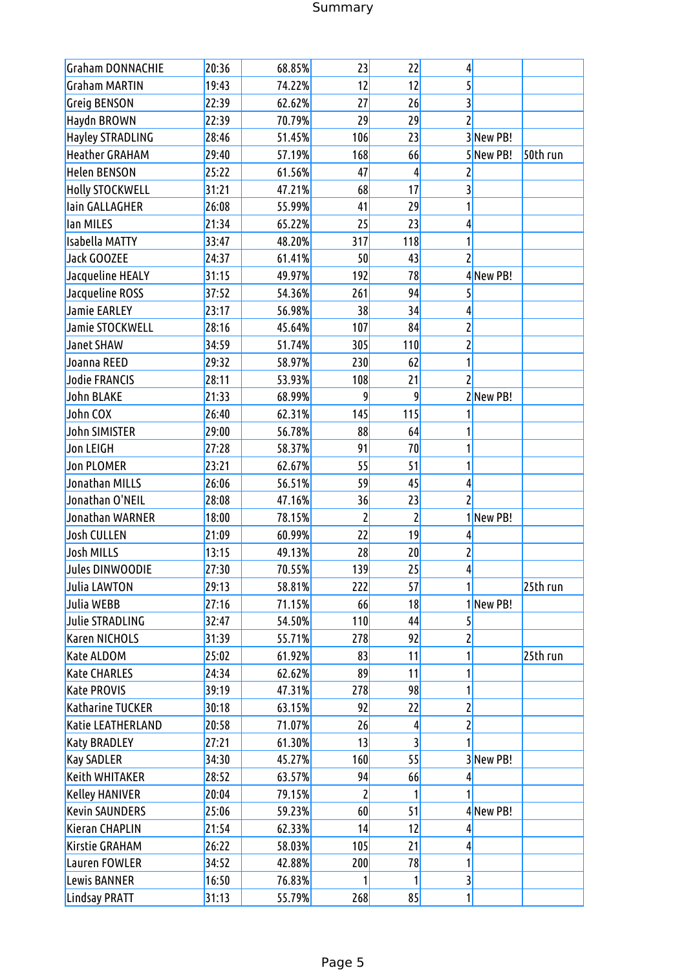# Summary

| <b>Graham DONNACHIE</b> | 20:36 | 68.85% | 23             | 22             | 4                       |           |          |
|-------------------------|-------|--------|----------------|----------------|-------------------------|-----------|----------|
| <b>Graham MARTIN</b>    | 19:43 | 74.22% | 12             | 12             | 5                       |           |          |
| <b>Greig BENSON</b>     | 22:39 | 62.62% | 27             | 26             | 3                       |           |          |
| Haydn BROWN             | 22:39 | 70.79% | 29             | 29             | $\overline{c}$          |           |          |
| <b>Hayley STRADLING</b> | 28:46 | 51.45% | 106            | 23             |                         | 3New PB!  |          |
| <b>Heather GRAHAM</b>   | 29:40 | 57.19% | 168            | 66             |                         | 5New PB!  | 50th run |
| <b>Helen BENSON</b>     | 25:22 | 61.56% | 47             | 4              | 2                       |           |          |
| <b>Holly STOCKWELL</b>  | 31:21 | 47.21% | 68             | 17             | 3                       |           |          |
| lain GALLAGHER          | 26:08 | 55.99% | 41             | 29             | 1                       |           |          |
| lan MILES               | 21:34 | 65.22% | 25             | 23             | 4                       |           |          |
| <b>Isabella MATTY</b>   | 33:47 | 48.20% | 317            | 118            | 1                       |           |          |
| <b>Jack GOOZEE</b>      | 24:37 | 61.41% | 50             | 43             | $\overline{c}$          |           |          |
| Jacqueline HEALY        | 31:15 | 49.97% | 192            | 78             |                         | 4New PB!  |          |
| Jacqueline ROSS         | 37:52 | 54.36% | 261            | 94             | 5                       |           |          |
| <b>Jamie EARLEY</b>     | 23:17 | 56.98% | 38             | 34             | 4                       |           |          |
| Jamie STOCKWELL         | 28:16 | 45.64% | 107            | 84             | 2                       |           |          |
| Janet SHAW              | 34:59 | 51.74% | 305            | 110            | 2                       |           |          |
| Joanna REED             | 29:32 | 58.97% | 230            | 62             | 1                       |           |          |
| <b>Jodie FRANCIS</b>    | 28:11 | 53.93% | 108            | 21             | $\overline{c}$          |           |          |
| John BLAKE              | 21:33 | 68.99% | 9              | 9              |                         | 2New PB!  |          |
| John COX                | 26:40 | 62.31% | 145            | 115            |                         |           |          |
| <b>John SIMISTER</b>    | 29:00 | 56.78% | 88             | 64             | 1                       |           |          |
| <b>Jon LEIGH</b>        | 27:28 | 58.37% | 91             | 70             | 1                       |           |          |
| <b>Jon PLOMER</b>       | 23:21 | 62.67% | 55             | 51             | 1                       |           |          |
| Jonathan MILLS          | 26:06 | 56.51% | 59             | 45             | 4                       |           |          |
| Jonathan O'NEIL         | 28:08 | 47.16% | 36             | 23             | $\overline{c}$          |           |          |
| Jonathan WARNER         | 18:00 | 78.15% | $\overline{c}$ | $\overline{c}$ |                         | 1 New PB! |          |
| <b>Josh CULLEN</b>      | 21:09 | 60.99% | 22             | 19             | 4                       |           |          |
| <b>Josh MILLS</b>       | 13:15 | 49.13% | 28             | 20             | $\overline{\mathbf{c}}$ |           |          |
| Jules DINWOODIE         | 27:30 | 70.55% | 139            | 25             | 4                       |           |          |
| Julia LAWTON            | 29:13 | 58.81% | 222            | 57             | $\mathbf{1}$            |           | 25th run |
| Julia WEBB              | 27:16 | 71.15% | 66             | 18             |                         | 1 New PB! |          |
| <b>Julie STRADLING</b>  | 32:47 | 54.50% | 110            | 44             | 5                       |           |          |
| <b>Karen NICHOLS</b>    | 31:39 | 55.71% | 278            | 92             | 2                       |           |          |
| Kate ALDOM              | 25:02 | 61.92% | 83             | 11             | 1                       |           | 25th run |
| <b>Kate CHARLES</b>     | 24:34 | 62.62% | 89             | 11             | 1                       |           |          |
| <b>Kate PROVIS</b>      | 39:19 | 47.31% | 278            | 98             | 1                       |           |          |
| Katharine TUCKER        | 30:18 | 63.15% | 92             | 22             | 2                       |           |          |
| Katie LEATHERLAND       | 20:58 | 71.07% | 26             | 4              | 2                       |           |          |
| <b>Katy BRADLEY</b>     | 27:21 | 61.30% | 13             |                |                         |           |          |
| <b>Kay SADLER</b>       | 34:30 | 45.27% | 160            | 55             |                         | 3New PB!  |          |
| Keith WHITAKER          | 28:52 | 63.57% | 94             | 66             | 4                       |           |          |
| <b>Kelley HANIVER</b>   | 20:04 | 79.15% | $\mathbf{2}$   |                |                         |           |          |
| <b>Kevin SAUNDERS</b>   | 25:06 | 59.23% | 60             | 51             |                         | 4New PB!  |          |
| Kieran CHAPLIN          | 21:54 | 62.33% | 14             | 12             | 4                       |           |          |
| Kirstie GRAHAM          | 26:22 | 58.03% | 105            | 21             | 4                       |           |          |
| Lauren FOWLER           | 34:52 | 42.88% | 200            | 78             | 1                       |           |          |
| Lewis BANNER            | 16:50 | 76.83% |                | 1              | $\overline{\mathbf{3}}$ |           |          |
| Lindsay PRATT           | 31:13 | 55.79% | 268            | 85             | 1                       |           |          |
|                         |       |        |                |                |                         |           |          |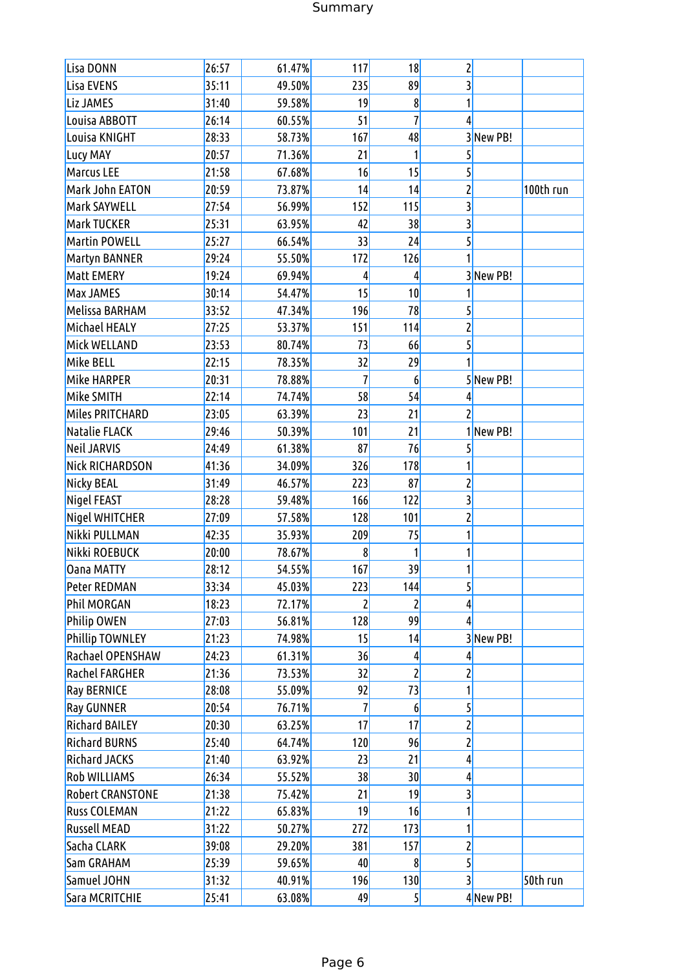# Summary

| Lisa DONN               | 26:57 | 61.47% | 117 | 18             | $\mathsf{Z}$            |           |           |
|-------------------------|-------|--------|-----|----------------|-------------------------|-----------|-----------|
| Lisa EVENS              | 35:11 | 49.50% | 235 | 89             | $\overline{\mathbf{3}}$ |           |           |
| Liz JAMES               | 31:40 | 59.58% | 19  | 8              | 1                       |           |           |
| Louisa ABBOTT           | 26:14 | 60.55% | 51  | $\overline{1}$ | 4                       |           |           |
| Louisa KNIGHT           | 28:33 | 58.73% | 167 | 48             |                         | 3New PB!  |           |
| Lucy MAY                | 20:57 | 71.36% | 21  | 1              | $\mathsf{S}$            |           |           |
| Marcus LEE              | 21:58 | 67.68% | 16  | 15             | $\overline{5}$          |           |           |
| Mark John EATON         | 20:59 | 73.87% | 14  | 14             | $\mathbf{Z}$            |           | 100th run |
| Mark SAYWELL            | 27:54 | 56.99% | 152 | 115            | $\overline{\mathbf{3}}$ |           |           |
| Mark TUCKER             | 25:31 | 63.95% | 42  | 38             | $\overline{\mathbf{3}}$ |           |           |
| <b>Martin POWELL</b>    | 25:27 | 66.54% | 33  | 24             | $\overline{5}$          |           |           |
| Martyn BANNER           | 29:24 | 55.50% | 172 | 126            |                         |           |           |
| Matt EMERY              | 19:24 | 69.94% | 4   | 4              |                         | 3New PB!  |           |
| Max JAMES               | 30:14 | 54.47% | 15  | 10             |                         |           |           |
| Melissa BARHAM          | 33:52 | 47.34% | 196 | 78             | $\mathsf{S}$            |           |           |
| Michael HEALY           | 27:25 | 53.37% | 151 | 114            | $\mathbf{Z}$            |           |           |
| Mick WELLAND            | 23:53 | 80.74% | 73  | 66             | $\overline{5}$          |           |           |
| Mike BELL               | 22:15 | 78.35% | 32  | 29             |                         |           |           |
| Mike HARPER             | 20:31 | 78.88% | 7   | 6              |                         | 5New PB!  |           |
| Mike SMITH              | 22:14 | 74.74% | 58  | 54             | 4                       |           |           |
| Miles PRITCHARD         | 23:05 | 63.39% | 23  | 21             | $\overline{2}$          |           |           |
| <b>Natalie FLACK</b>    | 29:46 | 50.39% | 101 | 21             |                         | 1 New PB! |           |
| <b>Neil JARVIS</b>      | 24:49 | 61.38% | 87  | 76             | 5                       |           |           |
| Nick RICHARDSON         | 41:36 | 34.09% | 326 | 178            |                         |           |           |
| Nicky BEAL              | 31:49 | 46.57% | 223 | 87             | $\mathbf{z}$            |           |           |
| Nigel FEAST             | 28:28 | 59.48% | 166 | 122            | $\overline{\mathbf{3}}$ |           |           |
| Nigel WHITCHER          | 27:09 | 57.58% | 128 | 101            | $\mathbf{z}$            |           |           |
| Nikki PULLMAN           | 42:35 | 35.93% | 209 | 75             | 1                       |           |           |
| Nikki ROEBUCK           | 20:00 | 78.67% | 8   |                | 1                       |           |           |
| <b>Oana MATTY</b>       | 28:12 | 54.55% | 167 | 39             | 1                       |           |           |
| Peter REDMAN            | 33:34 | 45.03% | 223 | 144            | $\overline{5}$          |           |           |
| Phil MORGAN             | 18:23 | 72.17% | 2   | 2              | $\overline{4}$          |           |           |
| Philip OWEN             | 27:03 | 56.81% | 128 | 99             | $\vert$                 |           |           |
| <b>Phillip TOWNLEY</b>  | 21:23 | 74.98% | 15  | 14             |                         | 3New PB!  |           |
| Rachael OPENSHAW        | 24:23 | 61.31% | 36  | 4              | $\vert 4 \vert$         |           |           |
| <b>Rachel FARGHER</b>   | 21:36 | 73.53% | 32  | $\overline{c}$ | $\overline{2}$          |           |           |
| <b>Ray BERNICE</b>      | 28:08 | 55.09% | 92  | 73             | 1                       |           |           |
| <b>Ray GUNNER</b>       | 20:54 | 76.71% | 7   | 6              | $\mathsf{S}$            |           |           |
| <b>Richard BAILEY</b>   | 20:30 | 63.25% | 17  | 17             | $\overline{2}$          |           |           |
| <b>Richard BURNS</b>    | 25:40 | 64.74% | 120 | 96             | $\mathbf{z}$            |           |           |
| <b>Richard JACKS</b>    | 21:40 | 63.92% | 23  | 21             | $\frac{4}{3}$           |           |           |
| Rob WILLIAMS            | 26:34 | 55.52% | 38  | 30             | $\frac{4}{3}$           |           |           |
| <b>Robert CRANSTONE</b> | 21:38 | 75.42% | 21  | 19             | 3                       |           |           |
| <b>Russ COLEMAN</b>     | 21:22 | 65.83% | 19  | 16             | 1                       |           |           |
| <b>Russell MEAD</b>     | 31:22 | 50.27% | 272 | 173            | 1                       |           |           |
| Sacha CLARK             | 39:08 | 29.20% | 381 | 157            | $\overline{2}$          |           |           |
| Sam GRAHAM              | 25:39 | 59.65% | 40  | 8              | $\overline{5}$          |           |           |
| Samuel JOHN             | 31:32 | 40.91% | 196 | 130            | 3                       |           | 50th run  |
| Sara MCRITCHIE          | 25:41 | 63.08% | 49  | 5              |                         | 4 New PB! |           |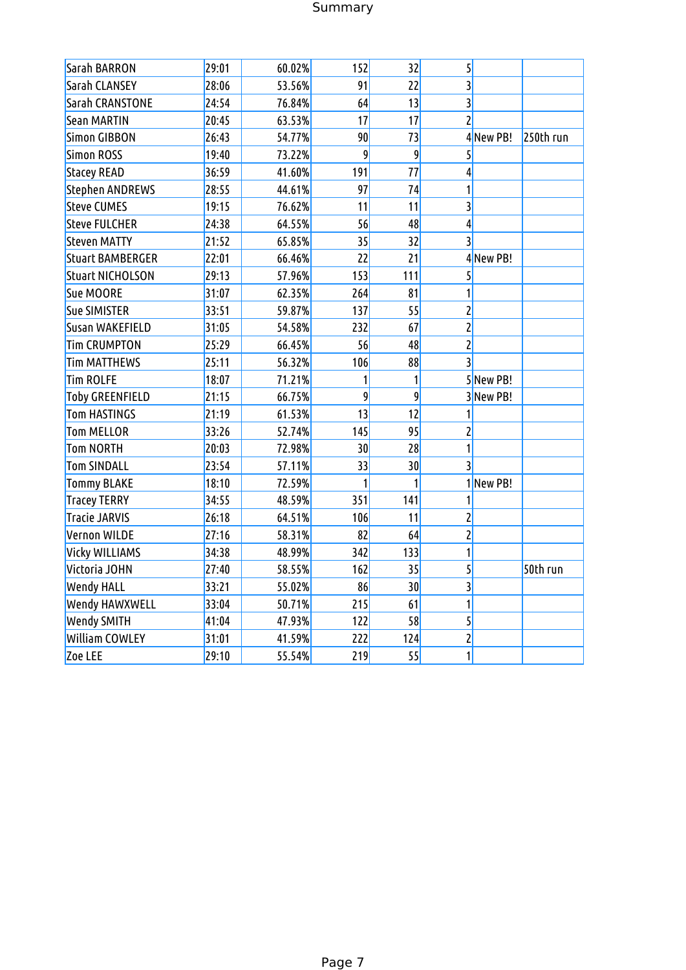# Summary

| Sarah BARRON            | 29:01 | 60.02% | 152 | 32             | $\overline{5}$          |           |           |
|-------------------------|-------|--------|-----|----------------|-------------------------|-----------|-----------|
| Sarah CLANSEY           | 28:06 | 53.56% | 91  | 22             | $\overline{3}$          |           |           |
| Sarah CRANSTONE         | 24:54 | 76.84% | 64  | 13             | $\overline{3}$          |           |           |
| Sean MARTIN             | 20:45 | 63.53% | 17  | 17             | $\overline{2}$          |           |           |
| Simon GIBBON            | 26:43 | 54.77% | 90  | 73             |                         | 4New PB!  | 250th run |
| Simon ROSS              | 19:40 | 73.22% | 9   | $\overline{9}$ | $\overline{5}$          |           |           |
| <b>Stacey READ</b>      | 36:59 | 41.60% | 191 | 77             | $\vert$                 |           |           |
| Stephen ANDREWS         | 28:55 | 44.61% | 97  | 74             | 1                       |           |           |
| <b>Steve CUMES</b>      | 19:15 | 76.62% | 11  | 11             | $\overline{\mathbf{3}}$ |           |           |
| <b>Steve FULCHER</b>    | 24:38 | 64.55% | 56  | 48             | $\vert 4 \vert$         |           |           |
| <b>Steven MATTY</b>     | 21:52 | 65.85% | 35  | 32             | 3                       |           |           |
| <b>Stuart BAMBERGER</b> | 22:01 | 66.46% | 22  | 21             |                         | 4New PB!  |           |
| <b>Stuart NICHOLSON</b> | 29:13 | 57.96% | 153 | 111            | $\overline{5}$          |           |           |
| Sue MOORE               | 31:07 | 62.35% | 264 | 81             | $\mathbf{1}$            |           |           |
| <b>Sue SIMISTER</b>     | 33:51 | 59.87% | 137 | 55             | $\mathbf{Z}$            |           |           |
| Susan WAKEFIELD         | 31:05 | 54.58% | 232 | 67             | $\overline{2}$          |           |           |
| <b>Tim CRUMPTON</b>     | 25:29 | 66.45% | 56  | 48             | $\overline{2}$          |           |           |
| <b>Tim MATTHEWS</b>     | 25:11 | 56.32% | 106 | 88             | $\overline{3}$          |           |           |
| <b>Tim ROLFE</b>        | 18:07 | 71.21% | 1   | $\mathbf{1}$   |                         | 5New PB!  |           |
| <b>Toby GREENFIELD</b>  | 21:15 | 66.75% | 9   | 9              |                         | 3 New PB! |           |
| <b>Tom HASTINGS</b>     | 21:19 | 61.53% | 13  | 12             | 1                       |           |           |
| <b>Tom MELLOR</b>       | 33:26 | 52.74% | 145 | 95             | $\mathbf{Z}$            |           |           |
| Tom NORTH               | 20:03 | 72.98% | 30  | 28             | $\mathbf{1}$            |           |           |
| <b>Tom SINDALL</b>      | 23:54 | 57.11% | 33  | 30             | $\overline{3}$          |           |           |
| <b>Tommy BLAKE</b>      | 18:10 | 72.59% | 1   | 1              |                         | 1 New PB! |           |
| <b>Tracey TERRY</b>     | 34:55 | 48.59% | 351 | 141            | 1                       |           |           |
| <b>Tracie JARVIS</b>    | 26:18 | 64.51% | 106 | 11             | $\overline{2}$          |           |           |
| Vernon WILDE            | 27:16 | 58.31% | 82  | 64             | $\overline{2}$          |           |           |
| Vicky WILLIAMS          | 34:38 | 48.99% | 342 | 133            | 1                       |           |           |
| Victoria JOHN           | 27:40 | 58.55% | 162 | 35             | $\overline{5}$          |           | 50th run  |
| <b>Wendy HALL</b>       | 33:21 | 55.02% | 86  | 30             | $\overline{3}$          |           |           |
| Wendy HAWXWELL          | 33:04 | 50.71% | 215 | 61             | 1                       |           |           |
| <b>Wendy SMITH</b>      | 41:04 | 47.93% | 122 | 58             | $\overline{5}$          |           |           |
| <b>William COWLEY</b>   | 31:01 | 41.59% | 222 | 124            | $\mathbf{z}$            |           |           |
| Zoe LEE                 | 29:10 | 55.54% | 219 | 55             | $\mathbf{1}$            |           |           |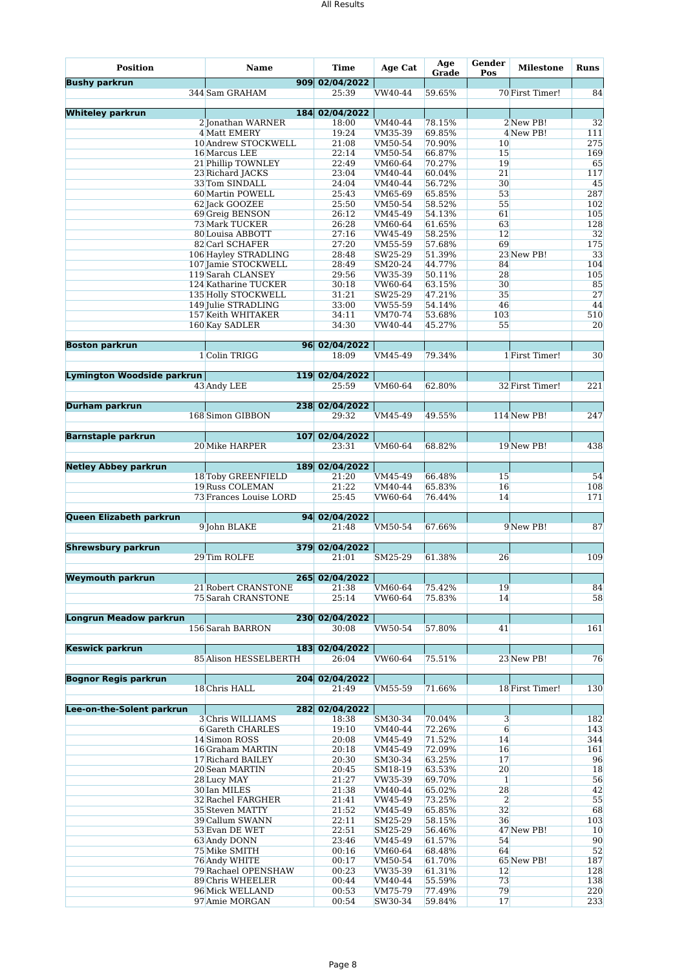| <b>Position</b>                   | <b>Name</b>                                | <b>Time</b>             | Age Cat            | Age<br>Grade     | Gender<br>Pos        | <b>Milestone</b> | <b>Runs</b> |
|-----------------------------------|--------------------------------------------|-------------------------|--------------------|------------------|----------------------|------------------|-------------|
| <b>Bushy parkrun</b>              |                                            | 909 02/04/2022          |                    |                  |                      |                  |             |
|                                   | 344 Sam GRAHAM                             | 25:39                   | VW40-44            | 59.65%           |                      | 70 First Timer!  | 84          |
| <b>Whiteley parkrun</b>           |                                            | 184 02/04/2022          |                    |                  |                      |                  |             |
|                                   | 2 Jonathan WARNER                          | 18:00                   | VM40-44            | 78.15%           |                      | 2 New PB!        | 32          |
|                                   | 4 Matt EMERY                               | 19:24                   | VM35-39            | 69.85%           |                      | 4 New PB!        | 111         |
|                                   | 10 Andrew STOCKWELL                        | 21:08                   | VM50-54            | 70.90%           | 10                   |                  | 275         |
|                                   | 16 Marcus LEE<br>21 Phillip TOWNLEY        | 22:14<br>22:49          | VM50-54<br>VM60-64 | 66.87%<br>70.27% | 15<br>19             |                  | 169<br>65   |
|                                   | 23 Richard JACKS                           | 23:04                   | VM40-44            | 60.04%           | 21                   |                  | 117         |
|                                   | 33 Tom SINDALL                             | 24:04                   | VM40-44            | 56.72%           | 30                   |                  | 45          |
|                                   | 60 Martin POWELL                           | 25:43                   | VM65-69            | 65.85%           | 53                   |                  | 287         |
|                                   | 62 Jack GOOZEE                             | 25:50                   | VM50-54            | 58.52%           | 55                   |                  | 102         |
|                                   | 69 Greig BENSON                            | 26:12                   | VM45-49            | 54.13%           | 61                   |                  | 105         |
|                                   | <b>73 Mark TUCKER</b>                      | 26:28                   | VM60-64            | 61.65%           | 63                   |                  | 128         |
|                                   | 80 Louisa ABBOTT                           | 27:16                   | VW45-49            | 58.25%           | 12                   |                  | 32          |
|                                   | 82 Carl SCHAFER                            | 27:20                   | VM55-59            | 57.68%           | 69                   |                  | 175         |
|                                   | 106 Hayley STRADLING                       | 28:48                   | SW25-29            | 51.39%           |                      | 23 New PB!       | 33          |
|                                   | 107 Jamie STOCKWELL                        | 28:49                   | SM20-24            | 44.77%           | 84                   |                  | 104         |
|                                   | 119 Sarah CLANSEY                          | 29:56                   | VW35-39            | 50.11%           | 28                   |                  | 105         |
|                                   | 124 Katharine TUCKER                       | 30:18                   | VW60-64            | 63.15%           | 30                   |                  | 85          |
|                                   | 135 Holly STOCKWELL<br>149 Julie STRADLING | 31:21<br>33:00          | SW25-29<br>VW55-59 | 47.21%<br>54.14% | 35<br>46             |                  | 27<br>44    |
|                                   | 157 Keith WHITAKER                         | 34:11                   | VM70-74            | 53.68%           | 103                  |                  | 510         |
|                                   | 160 Kay SADLER                             | 34:30                   | VW40-44            | 45.27%           | 55                   |                  | 20          |
|                                   |                                            |                         |                    |                  |                      |                  |             |
| <b>Boston parkrun</b>             |                                            | 96 02/04/2022           |                    |                  |                      |                  |             |
|                                   | 1 Colin TRIGG                              | 18:09                   | VM45-49            | 79.34%           |                      | 1 First Timer!   | 30          |
|                                   |                                            |                         |                    |                  |                      |                  |             |
| <b>Lymington Woodside parkrun</b> |                                            | 119 02/04/2022          |                    |                  |                      |                  |             |
|                                   | 43 Andy LEE                                | 25:59                   | VM60-64            | 62.80%           |                      | 32 First Timer!  | 221         |
|                                   |                                            |                         |                    |                  |                      |                  |             |
| <b>Durham parkrun</b>             |                                            | 238 02/04/2022          |                    |                  |                      |                  |             |
|                                   | 168 Simon GIBBON                           | 29:32                   | VM45-49            | 49.55%           |                      | 114 New PB!      | 247         |
|                                   |                                            |                         |                    |                  |                      |                  |             |
| <b>Barnstaple parkrun</b>         | <b>20 Mike HARPER</b>                      | 107 02/04/2022<br>23:31 | VM60-64            | 68.82%           |                      | 19 New PB!       | 438         |
|                                   |                                            |                         |                    |                  |                      |                  |             |
| <b>Netley Abbey parkrun</b>       |                                            | 189 02/04/2022          |                    |                  |                      |                  |             |
|                                   | 18 Toby GREENFIELD                         | 21:20                   | VM45-49            | 66.48%           | 15                   |                  | 54          |
|                                   | 19 Russ COLEMAN                            | 21:22                   | VM40-44            | 65.83%           | 16                   |                  | 108         |
|                                   | 73 Frances Louise LORD                     | 25:45                   | VW60-64            | 76.44%           | 14                   |                  | 171         |
|                                   |                                            |                         |                    |                  |                      |                  |             |
| Queen Elizabeth parkrun           |                                            | 94 02/04/2022           |                    |                  |                      |                  |             |
|                                   | 9 John BLAKE                               | 21:48                   | VM50-54            | 67.66%           |                      | 9 New PB!        | 87          |
|                                   |                                            |                         |                    |                  |                      |                  |             |
| <b>Shrewsbury parkrun</b>         |                                            | 379 02/04/2022          |                    |                  |                      |                  |             |
|                                   | 29 Tim ROLFE                               | 21:01                   | SM25-29            | 61.38%           | 26                   |                  | 109         |
| <b>Weymouth parkrun</b>           |                                            | 265 02/04/2022          |                    |                  |                      |                  |             |
|                                   | 21 Robert CRANSTONE                        | 21:38                   | VM60-64            | 75.42%           | 19                   |                  | 84          |
|                                   | 75 Sarah CRANSTONE                         | 25:14                   | VW60-64            | 75.83%           | 14                   |                  | 58          |
|                                   |                                            |                         |                    |                  |                      |                  |             |
| <b>Longrun Meadow parkrun</b>     |                                            | 230 02/04/2022          |                    |                  |                      |                  |             |
|                                   | 156 Sarah BARRON                           | 30:08                   | VW50-54            | 57.80%           | 41                   |                  | 161         |
|                                   |                                            |                         |                    |                  |                      |                  |             |
| <b>Keswick parkrun</b>            |                                            | 183 02/04/2022          |                    |                  |                      |                  |             |
|                                   | 85 Alison HESSELBERTH                      | 26:04                   | VW60-64            | 75.51%           |                      | 23 New PB!       | 76          |
|                                   |                                            |                         |                    |                  |                      |                  |             |
| <b>Bognor Regis parkrun</b>       | 18 Chris HALL                              | 204 02/04/2022<br>21:49 | VM55-59            | 71.66%           |                      | 18 First Timer!  | 130         |
|                                   |                                            |                         |                    |                  |                      |                  |             |
| Lee-on-the-Solent parkrun         |                                            | 282 02/04/2022          |                    |                  |                      |                  |             |
|                                   | 3 Chris WILLIAMS                           | 18:38                   | SM30-34            | 70.04%           | $\mathbf{3}$         |                  | 182         |
|                                   | 6 Gareth CHARLES                           | 19:10                   | VM40-44            | 72.26%           | 6                    |                  | 143         |
|                                   | 14 Simon ROSS                              | 20:08                   | VM45-49            | 71.52%           | 14                   |                  | 344         |
|                                   | 16 Graham MARTIN                           | 20:18                   | VM45-49            | 72.09%           | 16                   |                  | 161         |
|                                   | 17 Richard BAILEY                          | 20:30                   | SM30-34            | 63.25%           | 17                   |                  | 96          |
|                                   | 20 Sean MARTIN                             | 20:45                   | SM18-19            | 63.53%           | 20                   |                  | 18          |
|                                   | 28 Lucy MAY                                | 21:27                   | VW35-39            | 69.70%           | $\mathbf{1}$         |                  | 56          |
|                                   | 30 Ian MILES                               | 21:38                   | VM40-44            | 65.02%           | 28                   |                  | 42          |
|                                   | <b>32 Rachel FARGHER</b>                   | 21:41                   | VW45-49            | 73.25%           | $\overline{2}$<br>32 |                  | 55          |
|                                   | 35 Steven MATTY<br>39 Callum SWANN         | 21:52<br>22:11          | VM45-49<br>SM25-29 | 65.85%<br>58.15% | 36                   |                  | 68<br>103   |
|                                   | 53 Evan DE WET                             | 22:51                   | SM25-29            | 56.46%           |                      | 47 New PB!       | 10          |
|                                   | 63 Andy DONN                               | 23:46                   | VM45-49            | 61.57%           | 54                   |                  | 90          |
|                                   | 75 Mike SMITH                              | 00:16                   | VM60-64            | 68.48%           | 64                   |                  | 52          |
|                                   | 76 Andy WHITE                              | 00:17                   | VM50-54            | 61.70%           |                      | 65 New PB!       | 187         |
|                                   | 79 Rachael OPENSHAW                        | 00:23                   | VW35-39            | 61.31%           | 12                   |                  | 128         |
|                                   | 89 Chris WHEELER                           | 00:44                   | VM40-44            | 55.59%           | 73                   |                  | 138         |
|                                   | 96 Mick WELLAND                            | 00:53                   | VM75-79            | 77.49%           | 79                   |                  | 220         |
|                                   | 97 Amie MORGAN                             | 00:54                   | SW30-34            | 59.84%           | 17                   |                  | 233         |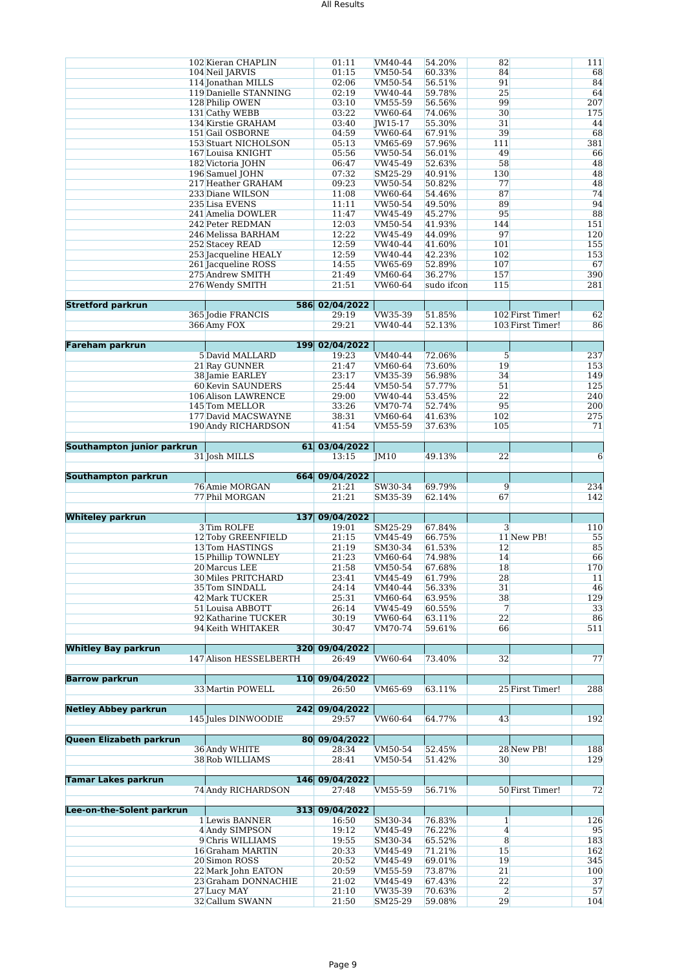|                             | 102 Kieran CHAPLIN             | 01:11          | VM40-44            | 54.20%           | 82                   |                  | 111                    |
|-----------------------------|--------------------------------|----------------|--------------------|------------------|----------------------|------------------|------------------------|
|                             | 104 Neil JARVIS                | 01:15          | VM50-54            | 60.33%           | 84                   |                  | 68                     |
|                             | 114 Jonathan MILLS             | 02:06          | VM50-54            | 56.51%           | 91                   |                  | 84                     |
|                             | 119 Danielle STANNING          | 02:19          | VW40-44            | 59.78%           | 25                   |                  | 64                     |
|                             | 128 Philip OWEN                | 03:10          | VM55-59            | 56.56%           | 99                   |                  | 207                    |
|                             | 131 Cathy WEBB                 | 03:22          | VW60-64            | 74.06%           | 30                   |                  | 175                    |
|                             | 134 Kirstie GRAHAM             | 03:40          |                    | 55.30%           | 31                   |                  | 44                     |
|                             |                                |                | JW15-17            |                  |                      |                  |                        |
|                             | 151 Gail OSBORNE               | 04:59          | VW60-64            | 67.91%           | 39                   |                  | 68                     |
|                             | 153 Stuart NICHOLSON           | 05:13          | VM65-69            | 57.96%           | 111                  |                  | 381                    |
|                             | 167 Louisa KNIGHT              | 05:56          | VW50-54            | 56.01%           | 49                   |                  | 66                     |
|                             | 182 Victoria JOHN              | 06:47          | VW45-49            | 52.63%           | 58                   |                  | 48                     |
|                             | 196 Samuel JOHN                | 07:32          | SM25-29            | 40.91%           | 130                  |                  | 48                     |
|                             | 217 Heather GRAHAM             | 09:23          | VW50-54            | 50.82%           | 77                   |                  | 48                     |
|                             | 233 Diane WILSON               | 11:08          | VW60-64            | 54.46%           | 87                   |                  | 74                     |
|                             | 235 Lisa EVENS                 | 11:11          | VW50-54            | 49.50%           | 89                   |                  | 94                     |
|                             | 241 Amelia DOWLER              | 11:47          | VW45-49            | 45.27%           | 95                   |                  | 88                     |
|                             | 242 Peter REDMAN               | 12:03          | VM50-54            | 41.93%           | 144                  |                  | 151                    |
|                             | 246 Melissa BARHAM             | 12:22          | VW45-49            | 44.09%           | 97                   |                  | 120                    |
|                             |                                |                |                    |                  |                      |                  |                        |
|                             | 252 Stacey READ                | 12:59          | VW40-44            | 41.60%           | 101                  |                  | 155                    |
|                             | 253 Jacqueline HEALY           | 12:59          | VW40-44            | 42.23%           | 102                  |                  | 153                    |
|                             | 261 Jacqueline ROSS            | 14:55          | VW65-69            | 52.89%           | 107                  |                  | 67                     |
|                             | 275 Andrew SMITH               | 21:49          | VM60-64            | 36.27%           | 157                  |                  | 390                    |
|                             | 276 Wendy SMITH                | 21:51          | VW60-64            | sudo ifcon       | 115                  |                  | 281                    |
|                             |                                |                |                    |                  |                      |                  |                        |
| <b>Stretford parkrun</b>    |                                | 586 02/04/2022 |                    |                  |                      |                  |                        |
|                             | 365 Iodie FRANCIS              | 29:19          | VW35-39            | 51.85%           |                      | 102 First Timer! | 62                     |
|                             | 366 Amy FOX                    | 29:21          | VW40-44            | 52.13%           |                      | 103 First Timer! | 86                     |
|                             |                                |                |                    |                  |                      |                  |                        |
| <b>Fareham parkrun</b>      |                                | 199 02/04/2022 |                    |                  |                      |                  |                        |
|                             | 5 David MALLARD                | 19:23          | VM40-44            | 72.06%           | 5                    |                  | 237                    |
|                             | 21 Ray GUNNER                  | 21:47          | VM60-64            | 73.60%           | 19                   |                  | 153                    |
|                             | 38 Jamie EARLEY                | 23:17          | VM35-39            | 56.98%           | 34                   |                  | 149                    |
|                             | <b>60 Kevin SAUNDERS</b>       | 25:44          | VM50-54            | 57.77%           | 51                   |                  | 125                    |
|                             |                                |                |                    |                  |                      |                  |                        |
|                             | 106 Alison LAWRENCE            | 29:00          | VW40-44            | 53.45%           | 22                   |                  | 240                    |
|                             | 145 Tom MELLOR                 | 33:26          | VM70-74            | 52.74%           | 95                   |                  | 200                    |
|                             | 177 David MACSWAYNE            | 38:31          | VM60-64            | 41.63%           | 102                  |                  | 275                    |
|                             | 190 Andy RICHARDSON            | 41:54          | VM55-59            | 37.63%           | 105                  |                  | 71                     |
|                             |                                |                |                    |                  |                      |                  |                        |
| Southampton junior parkrun  |                                | 61 03/04/2022  |                    |                  |                      |                  |                        |
|                             | 31 Josh MILLS                  | 13:15          | IM10               | 49.13%           | 22                   |                  | 6                      |
|                             |                                |                |                    |                  |                      |                  |                        |
| Southampton parkrun         |                                | 664 09/04/2022 |                    |                  |                      |                  |                        |
|                             |                                |                |                    |                  |                      |                  |                        |
|                             |                                |                |                    |                  |                      |                  |                        |
|                             | 76 Amie MORGAN                 | 21:21          | SW30-34            | 69.79%           | 9                    |                  | 234                    |
|                             | 77 Phil MORGAN                 | 21:21          | SM35-39            | 62.14%           | 67                   |                  | 142                    |
|                             |                                |                |                    |                  |                      |                  |                        |
| <b>Whiteley parkrun</b>     |                                | 137 09/04/2022 |                    |                  |                      |                  |                        |
|                             | 3 Tim ROLFE                    | 19:01          | SM25-29            | 67.84%           | 3                    |                  | 110                    |
|                             | 12 Toby GREENFIELD             | 21:15          | VM45-49            | 66.75%           |                      | 11 New PB!       | 55                     |
|                             | 13 Tom HASTINGS                | 21:19          | SM30-34            | 61.53%           | 12                   |                  | 85                     |
|                             | 15 Phillip TOWNLEY             | 21:23          | VM60-64            | 74.98%           | 14                   |                  | 66                     |
|                             | 20 Marcus LEE                  | 21:58          | VM50-54            | 67.68%           | 18                   |                  |                        |
|                             | 30 Miles PRITCHARD             | 23:41          | VM45-49            | 61.79%           | 28                   |                  | 11                     |
|                             | 35 Tom SINDALL                 | 24:14          | VM40-44            | 56.33%           | 31                   |                  |                        |
|                             | 42 Mark TUCKER                 | 25:31          | VM60-64            | 63.95%           | 38                   |                  | 129                    |
|                             | 51 Louisa ABBOTT               | 26:14          | VW45-49            | 60.55%           | 7                    |                  | 33                     |
|                             | 92 Katharine TUCKER            | 30:19          | VW60-64            | 63.11%           | 22                   |                  | 86                     |
|                             | 94 Keith WHITAKER              | 30:47          | VM70-74            | 59.61%           | 66                   |                  | 511                    |
|                             |                                |                |                    |                  |                      |                  |                        |
|                             |                                |                |                    |                  |                      |                  |                        |
| <b>Whitley Bay parkrun</b>  |                                | 320 09/04/2022 |                    |                  |                      |                  |                        |
|                             | 147 Alison HESSELBERTH         | 26:49          | VW60-64            | 73.40%           | 32                   |                  |                        |
|                             |                                |                |                    |                  |                      |                  |                        |
| <b>Barrow parkrun</b>       |                                | 110 09/04/2022 |                    |                  |                      |                  |                        |
|                             | 33 Martin POWELL               | 26:50          | VM65-69            | 63.11%           |                      | 25 First Timer!  | 288                    |
|                             |                                |                |                    |                  |                      |                  |                        |
| <b>Netley Abbey parkrun</b> |                                | 242 09/04/2022 |                    |                  |                      |                  |                        |
|                             | 145 Jules DINWOODIE            | 29:57          | VW60-64            | 64.77%           | 43                   |                  | 192                    |
|                             |                                |                |                    |                  |                      |                  |                        |
| Queen Elizabeth parkrun     |                                | 80 09/04/2022  |                    |                  |                      |                  | 170<br>46<br>77        |
|                             | 36 Andy WHITE                  | 28:34          | VM50-54            | 52.45%           |                      | 28 New PB!       | 188                    |
|                             | 38 Rob WILLIAMS                | 28:41          | VM50-54            | 51.42%           | 30                   |                  | 129                    |
|                             |                                |                |                    |                  |                      |                  |                        |
| <b>Tamar Lakes parkrun</b>  |                                | 146 09/04/2022 |                    |                  |                      |                  |                        |
|                             | 74 Andy RICHARDSON             | 27:48          | VM55-59            | 56.71%           |                      | 50 First Timer!  | 72                     |
|                             |                                |                |                    |                  |                      |                  |                        |
| Lee-on-the-Solent parkrun   |                                | 313 09/04/2022 |                    |                  |                      |                  |                        |
|                             | 1 Lewis BANNER                 | 16:50          | SM30-34            | 76.83%           | $\mathbf{1}$         |                  |                        |
|                             | 4 Andy SIMPSON                 | 19:12          | VM45-49            | 76.22%           | $\overline{4}$       |                  |                        |
|                             |                                |                |                    |                  |                      |                  |                        |
|                             | 9 Chris WILLIAMS               | 19:55          | SM30-34            | 65.52%           | 8                    |                  | 183                    |
|                             | 16 Graham MARTIN               | 20:33          | VM45-49            | 71.21%           | 15                   |                  | 162                    |
|                             | 20 Simon ROSS                  | 20:52          | VM45-49            | 69.01%           | 19                   |                  | 345                    |
|                             | 22 Mark John EATON             | 20:59          | VM55-59            | 73.87%           | 21                   |                  | 100                    |
|                             | 23 Graham DONNACHIE            | 21:02          | VM45-49            | 67.43%           | 22                   |                  | 37                     |
|                             | 27 Lucy MAY<br>32 Callum SWANN | 21:10<br>21:50 | VW35-39<br>SM25-29 | 70.63%<br>59.08% | $\overline{2}$<br>29 |                  | 126<br>95<br>57<br>104 |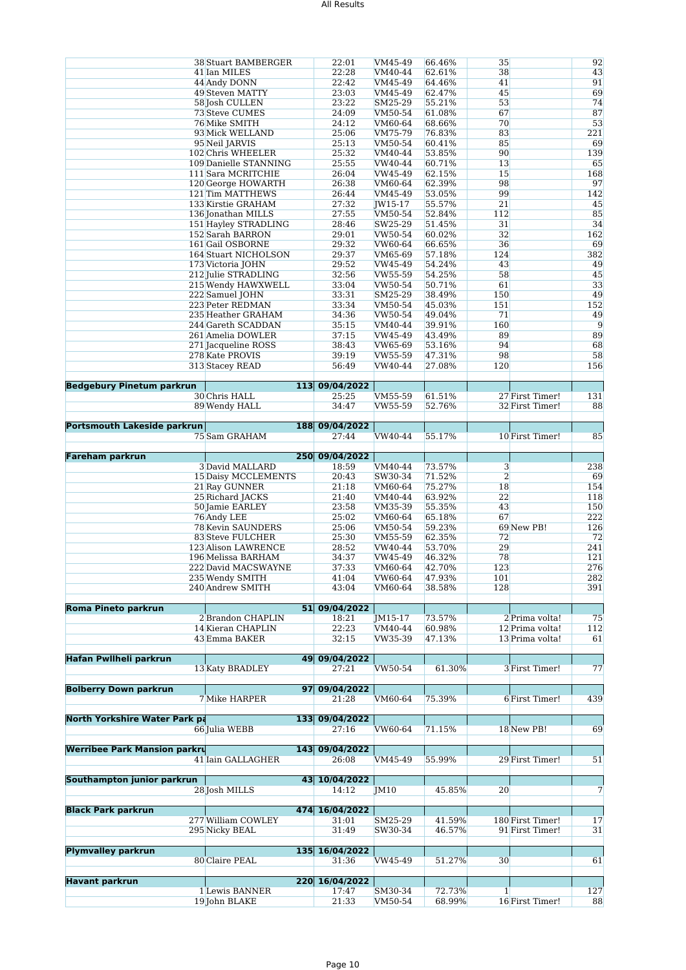|                                      | <b>38 Stuart BAMBERGER</b>      | 22:01          | VM45-49            | 66.46%           | 35             |                  | 92             |
|--------------------------------------|---------------------------------|----------------|--------------------|------------------|----------------|------------------|----------------|
|                                      | 41 Ian MILES                    | 22:28          | VM40-44            | 62.61%           | 38             |                  | 43             |
|                                      |                                 |                |                    |                  |                |                  |                |
|                                      | 44 Andy DONN                    | 22:42          | VM45-49            | 64.46%           | 41             |                  | 91             |
|                                      | 49 Steven MATTY                 | 23:03          | VM45-49            | 62.47%           | 45             |                  | 69             |
|                                      | 58 Josh CULLEN                  | 23:22          | SM25-29            | 55.21%           | 53             |                  | 74             |
|                                      | 73 Steve CUMES                  | 24:09          | VM50-54            | 61.08%           | 67             |                  | 87             |
|                                      |                                 |                |                    |                  |                |                  |                |
|                                      | 76 Mike SMITH                   | 24:12          | VM60-64            | 68.66%           | 70             |                  | 53             |
|                                      | 93 Mick WELLAND                 | 25:06          | VM75-79            | 76.83%           | 83             |                  | 221            |
|                                      | 95 Neil JARVIS                  | 25:13          | VM50-54            | 60.41%           | 85             |                  | 69             |
|                                      | 102 Chris WHEELER               | 25:32          | VM40-44            | 53.85%           | 90             |                  | 139            |
|                                      |                                 |                |                    |                  |                |                  |                |
|                                      | 109 Danielle STANNING           | 25:55          | VW40-44            | 60.71%           | 13             |                  | 65             |
|                                      | 111 Sara MCRITCHIE              | 26:04          | VW45-49            | 62.15%           | 15             |                  | 168            |
|                                      | 120 George HOWARTH              | 26:38          | VM60-64            | 62.39%           | 98             |                  | 97             |
|                                      | 121 Tim MATTHEWS                | 26:44          | VM45-49            | 53.05%           | 99             |                  | 142            |
|                                      |                                 |                |                    |                  |                |                  |                |
|                                      | 133 Kirstie GRAHAM              | 27:32          | JW15-17            | 55.57%           | 21             |                  | 45             |
|                                      | 136 Jonathan MILLS              | 27:55          | VM50-54            | 52.84%           | 112            |                  | 85             |
|                                      | 151 Hayley STRADLING            | 28:46          | SW25-29            | 51.45%           | 31             |                  | 34             |
|                                      | 152 Sarah BARRON                | 29:01          | VW50-54            | 60.02%           | 32             |                  | 162            |
|                                      |                                 |                |                    |                  |                |                  |                |
|                                      | 161 Gail OSBORNE                | 29:32          | VW60-64            | 66.65%           | 36             |                  | 69             |
|                                      | 164 Stuart NICHOLSON            | 29:37          | VM65-69            | 57.18%           | 124            |                  | 382            |
|                                      | 173 Victoria JOHN               | 29:52          | VW45-49            | 54.24%           | 43             |                  | 49             |
|                                      | 212 Julie STRADLING             | 32:56          | VW55-59            | 54.25%           | 58             |                  | 45             |
|                                      | 215 Wendy HAWXWELL              | 33:04          | VW50-54            | 50.71%           | 61             |                  | 33             |
|                                      |                                 |                |                    |                  |                |                  |                |
|                                      | 222 Samuel JOHN                 | 33:31          | SM25-29            | 38.49%           | 150            |                  | 49             |
|                                      | 223 Peter REDMAN                | 33:34          | VM50-54            | 45.03%           | 151            |                  | 152            |
|                                      | 235 Heather GRAHAM              | 34:36          | VW50-54            | 49.04%           | 71             |                  | 49             |
|                                      | 244 Gareth SCADDAN              | 35:15          | VM40-44            | 39.91%           | 160            |                  | 9              |
|                                      |                                 |                |                    |                  |                |                  | 89             |
|                                      | 261 Amelia DOWLER               | 37:15          | VW45-49            | 43.49%           | 89             |                  |                |
|                                      | 271 Jacqueline ROSS             | 38:43          | VW65-69            | 53.16%           | 94             |                  | 68             |
|                                      | 278 Kate PROVIS                 | 39:19          | VW55-59            | 47.31%           | 98             |                  | 58             |
|                                      | 313 Stacey READ                 | 56:49          | VW40-44            | 27.08%           | 120            |                  | 156            |
|                                      |                                 |                |                    |                  |                |                  |                |
|                                      |                                 |                |                    |                  |                |                  |                |
| <b>Bedgebury Pinetum parkrun</b>     |                                 | 113 09/04/2022 |                    |                  |                |                  |                |
|                                      | 30 Chris HALL                   | 25:25          | VM55-59            | 61.51%           |                | 27 First Timer!  | 131            |
|                                      | 89 Wendy HALL                   | 34:47          | VW55-59            | 52.76%           |                | 32 First Timer!  | 88             |
|                                      |                                 |                |                    |                  |                |                  |                |
|                                      |                                 |                |                    |                  |                |                  |                |
| Portsmouth Lakeside parkrun          |                                 | 188 09/04/2022 |                    |                  |                |                  |                |
|                                      | 75 Sam GRAHAM                   | 27:44          | VW40-44            | 55.17%           |                | 10 First Timer!  | 85             |
|                                      |                                 |                |                    |                  |                |                  |                |
| <b>Fareham parkrun</b>               |                                 | 250 09/04/2022 |                    |                  |                |                  |                |
|                                      | 3 David MALLARD                 | 18:59          | VM40-44            | 73.57%           | 3              |                  | 238            |
|                                      |                                 |                |                    |                  |                |                  |                |
|                                      | 15 Daisy MCCLEMENTS             | 20:43          | SW30-34            | 71.52%           | $\overline{2}$ |                  | 69             |
|                                      | 21 Ray GUNNER                   | 21:18          | VM60-64            | 75.27%           | 18             |                  | 154            |
|                                      | 25 Richard JACKS                | 21:40          | VM40-44            | 63.92%           | 22             |                  | 118            |
|                                      | 50 Jamie EARLEY                 | 23:58          | VM35-39            | 55.35%           | 43             |                  | 150            |
|                                      | 76 Andy LEE                     | 25:02          | VM60-64            | 65.18%           | 67             |                  | 222            |
|                                      |                                 |                |                    |                  |                |                  |                |
|                                      | 78 Kevin SAUNDERS               | 25:06          | VM50-54            | 59.23%           |                | 69 New PB!       | 126            |
|                                      | 83 Steve FULCHER                | 25:30          | VM55-59            | 62.35%           | 72             |                  | 72             |
|                                      | 123 Alison LAWRENCE             | 28:52          | VW40-44            | 53.70%           | 29             |                  | 241            |
|                                      | 196 Melissa BARHAM              | 34:37          | VW45-49            | 46.32%           | 78             |                  | 121            |
|                                      |                                 |                |                    |                  |                |                  |                |
|                                      | 222 David MACSWAYNE             | 37:33          | VM60-64            | 42.70%           | 123            |                  | 276            |
|                                      | 235 Wendy SMITH                 | 41:04          | VW60-64            | 47.93%           | 101            |                  | 282            |
|                                      | 240 Andrew SMITH                | 43:04          | VM60-64            | 38.58%           | 128            |                  | 391            |
|                                      |                                 |                |                    |                  |                |                  |                |
| <b>Roma Pineto parkrun</b>           |                                 | 51 09/04/2022  |                    |                  |                |                  |                |
|                                      | 2 Brandon CHAPLIN               | 18:21          | JM15-17            | 73.57%           |                | 2 Prima volta!   | 75             |
|                                      |                                 |                |                    |                  |                |                  |                |
|                                      | 14 Kieran CHAPLIN               | 22:23          | VM40-44            | 60.98%           |                | 12 Prima volta!  | 112            |
|                                      | 43 Emma BAKER                   | 32:15          | VW35-39            | 47.13%           |                | 13 Prima volta!  | 61             |
|                                      |                                 |                |                    |                  |                |                  |                |
| <b>Hafan Pwllheli parkrun</b>        |                                 | 49 09/04/2022  |                    |                  |                |                  |                |
|                                      | 13 Katy BRADLEY                 | 27:21          | VW50-54            | 61.30%           |                | 3 First Timer!   | 77             |
|                                      |                                 |                |                    |                  |                |                  |                |
|                                      |                                 |                |                    |                  |                |                  |                |
| <b>Bolberry Down parkrun</b>         | 97 <sup>°</sup>                 | 09/04/2022     |                    |                  |                |                  |                |
|                                      | 7 Mike HARPER                   | 21:28          | VM60-64            | 75.39%           |                | 6 First Timer!   | 439            |
|                                      |                                 |                |                    |                  |                |                  |                |
| <b>North Yorkshire Water Park pa</b> |                                 | 133 09/04/2022 |                    |                  |                |                  |                |
|                                      | 66 Julia WEBB                   | 27:16          | VW60-64            | 71.15%           |                | 18 New PB!       | 69             |
|                                      |                                 |                |                    |                  |                |                  |                |
|                                      |                                 |                |                    |                  |                |                  |                |
| <b>Werribee Park Mansion parkru</b>  |                                 | 143 09/04/2022 |                    |                  |                |                  |                |
|                                      | 41 Iain GALLAGHER               | 26:08          | VM45-49            | 55.99%           |                | 29 First Timer!  | 51             |
|                                      |                                 |                |                    |                  |                |                  |                |
| Southampton junior parkrun           |                                 | 43 10/04/2022  |                    |                  |                |                  |                |
|                                      |                                 |                |                    |                  |                |                  |                |
|                                      | 28 Josh MILLS                   | 14:12          | JM10               | 45.85%           | 20             |                  | $\overline{7}$ |
|                                      |                                 |                |                    |                  |                |                  |                |
| <b>Black Park parkrun</b>            |                                 | 474 16/04/2022 |                    |                  |                |                  |                |
|                                      | 277 William COWLEY              | 31:01          | SM25-29            | 41.59%           |                | 180 First Timer! | 17             |
|                                      | 295 Nicky BEAL                  | 31:49          | SW30-34            | 46.57%           |                | 91 First Timer!  | 31             |
|                                      |                                 |                |                    |                  |                |                  |                |
|                                      |                                 |                |                    |                  |                |                  |                |
| <b>Plymvalley parkrun</b>            |                                 | 135 16/04/2022 |                    |                  |                |                  |                |
|                                      |                                 | 31:36          | VW45-49            | 51.27%           | 30             |                  | 61             |
|                                      | 80 Claire PEAL                  |                |                    |                  |                |                  |                |
|                                      |                                 |                |                    |                  |                |                  |                |
|                                      |                                 |                |                    |                  |                |                  |                |
| <b>Havant parkrun</b>                |                                 | 220 16/04/2022 |                    |                  |                |                  |                |
|                                      | 1 Lewis BANNER<br>19 John BLAKE | 17:47<br>21:33 | SM30-34<br>VM50-54 | 72.73%<br>68.99% | $\mathbf{1}$   | 16 First Timer!  | 127<br>88      |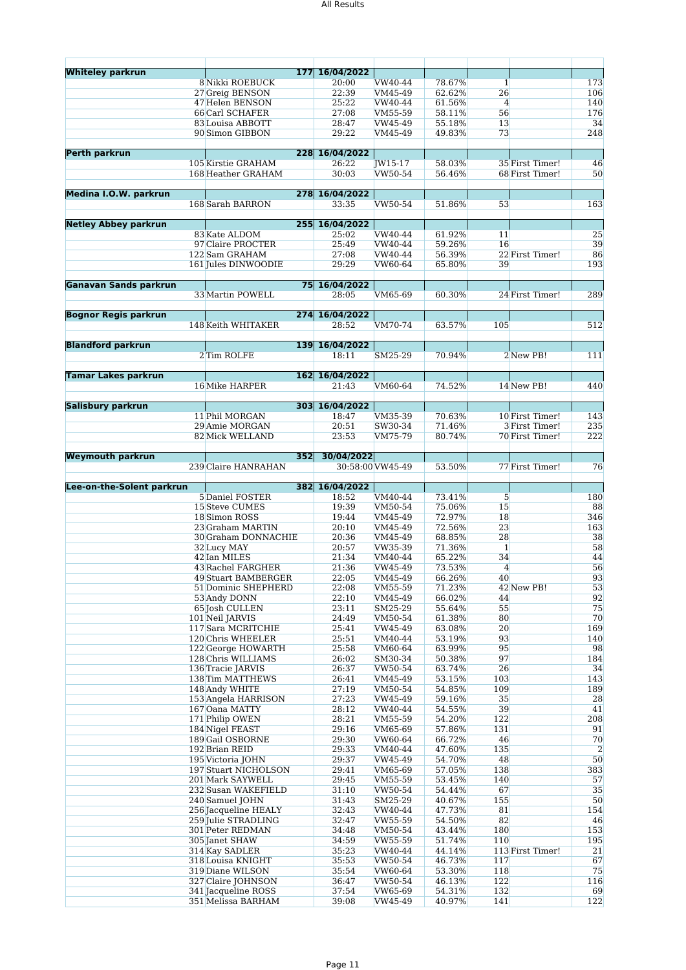| <b>Whiteley parkrun</b>     |                                           | 177 16/04/2022 |                    |                  |                 |                  |           |
|-----------------------------|-------------------------------------------|----------------|--------------------|------------------|-----------------|------------------|-----------|
|                             | 8 Nikki ROEBUCK                           | 20:00          | VW40-44            | 78.67%           | $\mathbf{1}$    |                  | 173       |
|                             | 27 Greig BENSON                           | 22:39          | VM45-49            | 62.62%           | 26              |                  | 106       |
|                             | 47 Helen BENSON                           | 25:22          | VW40-44            | 61.56%           | $\overline{4}$  |                  | 140       |
|                             | 66 Carl SCHAFER                           | 27:08          | VM55-59            | 58.11%           | 56              |                  | 176       |
|                             | 83 Louisa ABBOTT                          | 28:47          | VW45-49            | 55.18%           | 13              |                  | 34        |
|                             | 90 Simon GIBBON                           | 29:22          | VM45-49            | 49.83%           | 73              |                  | 248       |
|                             |                                           |                |                    |                  |                 |                  |           |
| Perth parkrun               |                                           | 228 16/04/2022 |                    |                  |                 |                  |           |
|                             | 105 Kirstie GRAHAM                        | 26:22          | JW15-17            | 58.03%           |                 | 35 First Timer!  | 46        |
|                             | 168 Heather GRAHAM                        | 30:03          | VW50-54            | 56.46%           |                 | 68 First Timer!  | 50        |
|                             |                                           |                |                    |                  |                 |                  |           |
| Medina I.O.W. parkrun       |                                           | 278 16/04/2022 |                    |                  |                 |                  |           |
|                             | 168 Sarah BARRON                          | 33:35          | VW50-54            | 51.86%           | 53              |                  | 163       |
|                             |                                           |                |                    |                  |                 |                  |           |
| <b>Netley Abbey parkrun</b> |                                           | 255 16/04/2022 |                    |                  |                 |                  |           |
|                             | 83 Kate ALDOM                             | 25:02          | VW40-44            | 61.92%           | 11              |                  | 25        |
|                             | 97 Claire PROCTER                         | 25:49          | VW40-44            | 59.26%           | 16              |                  | 39        |
|                             | 122 Sam GRAHAM                            | 27:08          | VW40-44            | 56.39%           |                 | 22 First Timer!  | 86        |
|                             | 161 Jules DINWOODIE                       | 29:29          | VW60-64            | 65.80%           | 39              |                  | 193       |
|                             |                                           |                |                    |                  |                 |                  |           |
| Ganavan Sands parkrun       |                                           | 75 16/04/2022  |                    |                  |                 |                  |           |
|                             | 33 Martin POWELL                          | 28:05          | VM65-69            | 60.30%           |                 | 24 First Timer!  | 289       |
|                             |                                           |                |                    |                  |                 |                  |           |
| <b>Bognor Regis parkrun</b> |                                           | 274 16/04/2022 |                    |                  |                 |                  |           |
|                             | 148 Keith WHITAKER                        | 28:52          | VM70-74            | 63.57%           | 105             |                  | 512       |
|                             |                                           |                |                    |                  |                 |                  |           |
| <b>Blandford parkrun</b>    |                                           | 139 16/04/2022 |                    |                  |                 |                  |           |
|                             | 2 Tim ROLFE                               | 18:11          | SM25-29            | 70.94%           |                 | 2 New PB!        | 111       |
|                             |                                           |                |                    |                  |                 |                  |           |
| <b>Tamar Lakes parkrun</b>  |                                           | 162 16/04/2022 |                    |                  |                 |                  |           |
|                             | 16 Mike HARPER                            | 21:43          | VM60-64            | 74.52%           |                 | 14 New PB!       | 440       |
|                             |                                           |                |                    |                  |                 |                  |           |
| Salisbury parkrun           |                                           | 303 16/04/2022 |                    |                  |                 |                  |           |
|                             | 11 Phil MORGAN                            | 18:47          | VM35-39            | 70.63%           |                 | 10 First Timer!  | 143       |
|                             | 29 Amie MORGAN                            | 20:51          | SW30-34            | 71.46%           |                 | 3 First Timer!   | 235       |
|                             | 82 Mick WELLAND                           | 23:53          | VM75-79            | 80.74%           |                 | 70 First Timer!  | 222       |
|                             |                                           |                |                    |                  |                 |                  |           |
| <b>Weymouth parkrun</b>     | 352                                       | 30/04/2022     |                    |                  |                 |                  |           |
|                             | 239 Claire HANRAHAN                       |                | 30:58:00 VW45-49   | 53.50%           |                 | 77 First Timer!  | 76        |
|                             |                                           |                |                    |                  |                 |                  |           |
|                             |                                           |                |                    |                  |                 |                  |           |
| Lee-on-the-Solent parkrun   |                                           | 382 16/04/2022 |                    |                  |                 |                  |           |
|                             | 5 Daniel FOSTER                           | 18:52          | VM40-44            | 73.41%           | $5\overline{)}$ |                  | 180       |
|                             | 15 Steve CUMES                            | 19:39          | VM50-54            | 75.06%           | 15              |                  | 88        |
|                             | 18 Simon ROSS                             | 19:44          | VM45-49            | 72.97%           | 18              |                  | 346       |
|                             | 23 Graham MARTIN                          | 20:10          | VM45-49            | 72.56%           | 23              |                  | 163       |
|                             | 30 Graham DONNACHIE                       | 20:36          | VM45-49            | 68.85%           | 28              |                  | 38        |
|                             | 32 Lucy MAY                               | 20:57          | VW35-39            | 71.36%           | $\mathbf{1}$    |                  | 58        |
|                             | 42 Ian MILES                              | 21:34          | VM40-44            | 65.22%           | 34              |                  | 44        |
|                             | 43 Rachel FARGHER                         | 21:36          | VW45-49            | 73.53%           | $\overline{4}$  |                  | 56        |
|                             | 49 Stuart BAMBERGER                       | 22:05          | VM45-49            | 66.26%           | 40              |                  | 93        |
|                             | 51 Dominic SHEPHERD                       | 22:08          | VM55-59            | 71.23%           |                 | 42 New PB!       | 53        |
|                             | 53 Andy DONN                              | 22:10          | VM45-49            | 66.02%           | 44              |                  | 92        |
|                             | 65 Josh CULLEN                            | 23:11          | SM25-29            | 55.64%           | 55              |                  | 75        |
|                             | 101 Neil JARVIS                           | 24:49          | VM50-54            | 61.38%           | 80              |                  | 70        |
|                             | 117 Sara MCRITCHIE                        | 25:41          | VW45-49            | 63.08%           | 20              |                  | 169       |
|                             | 120 Chris WHEELER                         | 25:51          | VM40-44            | 53.19%           | 93              |                  | 140       |
|                             | 122 George HOWARTH                        | 25:58          | VM60-64            | 63.99%           | 95              |                  | 98        |
|                             | 128 Chris WILLIAMS                        | 26:02          | SM30-34            | 50.38%           | 97              |                  | 184       |
|                             | 136 Tracie JARVIS                         | 26:37          | VW50-54            | 63.74%           | 26              |                  | 34        |
|                             | 138 Tim MATTHEWS                          | 26:41          | VM45-49            | 53.15%           | 103             |                  | 143       |
|                             | 148 Andy WHITE                            | 27:19          | VM50-54            | 54.85%           | 109             |                  | 189       |
|                             | 153 Angela HARRISON                       | 27:23          | VW45-49            | 59.16%           | 35              |                  | 28        |
|                             | 167 Oana MATTY                            | 28:12          | VW40-44            | 54.55%           | 39              |                  | 41        |
|                             | 171 Philip OWEN                           | 28:21          | VM55-59            | 54.20%           | 122             |                  | 208       |
|                             | 184 Nigel FEAST                           | 29:16          | VM65-69            | 57.86%           | 131             |                  | 91        |
|                             | 189 Gail OSBORNE                          | 29:30          | VW60-64            | 66.72%           | 46              |                  | 70        |
|                             | 192 Brian REID                            | 29:33          | VM40-44            | 47.60%           | 135             |                  | 2         |
|                             | 195 Victoria JOHN                         | 29:37          | VW45-49            | 54.70%           | 48              |                  | 50        |
|                             | 197 Stuart NICHOLSON                      | 29:41          | VM65-69            | 57.05%           | 138             |                  | 383       |
|                             | 201 Mark SAYWELL                          | 29:45          | VM55-59            | 53.45%           | 140             |                  | 57        |
|                             | 232 Susan WAKEFIELD                       | 31:10          | VW50-54            | 54.44%           | 67              |                  | 35        |
|                             | 240 Samuel JOHN                           | 31:43          | SM25-29            | 40.67%           | 155             |                  | 50        |
|                             | 256 Jacqueline HEALY                      | 32:43          | VW40-44            | 47.73%           | 81              |                  | 154       |
|                             | 259 Julie STRADLING                       | 32:47          | VW55-59            | 54.50%           | 82              |                  | 46        |
|                             | 301 Peter REDMAN                          | 34:48          | VM50-54            | 43.44%           | 180             |                  | 153       |
|                             | 305 Janet SHAW                            | 34:59          | VW55-59            | 51.74%           | 110             |                  | 195       |
|                             | 314 Kay SADLER                            | 35:23          | VW40-44            | 44.14%           |                 | 113 First Timer! | 21        |
|                             | 318 Louisa KNIGHT                         | 35:53          | VW50-54            | 46.73%           | 117             |                  | 67        |
|                             | 319 Diane WILSON                          | 35:54          | VW60-64            | 53.30%           | 118             |                  | 75        |
|                             | 327 Claire JOHNSON                        | 36:47          | VW50-54            | 46.13%           | 122             |                  | 116       |
|                             | 341 Jacqueline ROSS<br>351 Melissa BARHAM | 37:54<br>39:08 | VW65-69<br>VW45-49 | 54.31%<br>40.97% | 132<br>141      |                  | 69<br>122 |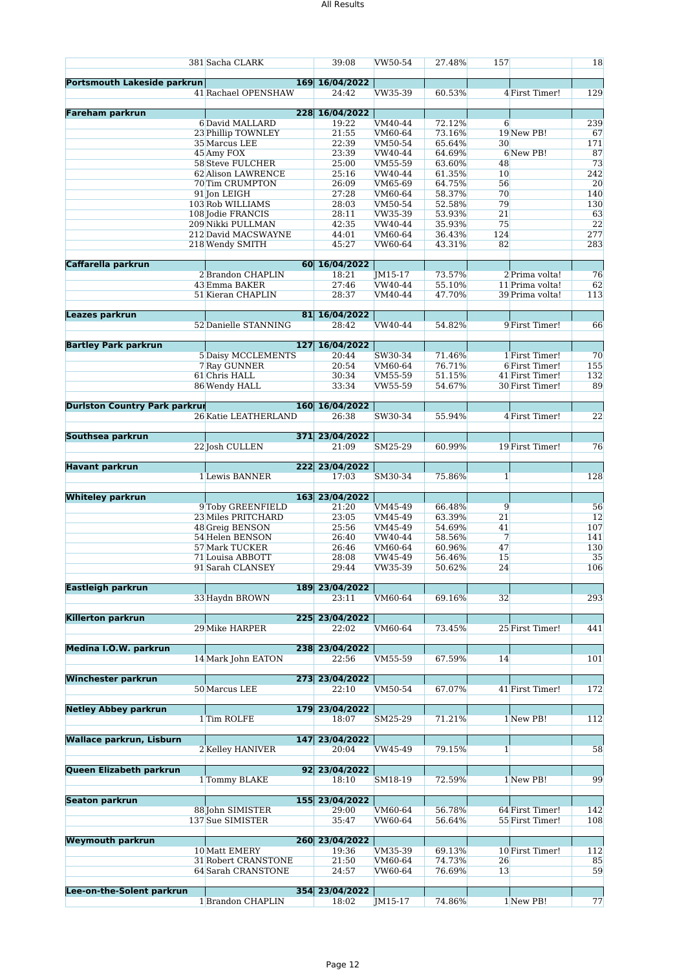|                                      | 381 Sacha CLARK            | 39:08                   | VW50-54 | 27.48% | 157          |                 | 18  |
|--------------------------------------|----------------------------|-------------------------|---------|--------|--------------|-----------------|-----|
| <b>Portsmouth Lakeside parkrun</b>   |                            | 169 16/04/2022          |         |        |              |                 |     |
|                                      | 41 Rachael OPENSHAW        | 24:42                   | VW35-39 | 60.53% |              | 4 First Timer!  | 129 |
| <b>Fareham parkrun</b>               |                            | 228 16/04/2022          |         |        |              |                 |     |
|                                      | 6 David MALLARD            | 19:22                   | VM40-44 | 72.12% | 6            |                 | 239 |
|                                      | 23 Phillip TOWNLEY         | 21:55                   | VM60-64 | 73.16% |              | 19 New PB!      | 67  |
|                                      | 35 Marcus LEE              | 22:39                   | VM50-54 | 65.64% | 30           |                 | 171 |
|                                      | 45 Amy FOX                 | 23:39                   | VW40-44 | 64.69% |              | 6 New PB!       | 87  |
|                                      | 58 Steve FULCHER           | 25:00                   | VM55-59 | 63.60% | 48           |                 | 73  |
|                                      | 62 Alison LAWRENCE         | 25:16                   | VW40-44 | 61.35% | 10           |                 | 242 |
|                                      | 70 Tim CRUMPTON            | 26:09                   | VM65-69 | 64.75% | 56           |                 | 20  |
|                                      | 91 Jon LEIGH               | 27:28                   | VM60-64 | 58.37% | 70           |                 | 140 |
|                                      | 103 Rob WILLIAMS           | 28:03                   | VM50-54 | 52.58% | 79           |                 | 130 |
|                                      | 108 Jodie FRANCIS          | 28:11                   | VW35-39 | 53.93% | 21           |                 | 63  |
|                                      | 209 Nikki PULLMAN          | 42:35                   | VW40-44 | 35.93% | 75           |                 | 22  |
|                                      | 212 David MACSWAYNE        | 44:01                   | VM60-64 | 36.43% | 124          |                 | 277 |
|                                      | 218 Wendy SMITH            | 45:27                   | VW60-64 | 43.31% | 82           |                 | 283 |
|                                      |                            |                         |         |        |              |                 |     |
| Caffarella parkrun                   |                            | 60 16/04/2022           |         |        |              |                 |     |
|                                      | 2 Brandon CHAPLIN          | 18:21                   | JM15-17 | 73.57% |              | 2 Prima volta!  | 76  |
|                                      | 43 Emma BAKER              | 27:46                   | VW40-44 | 55.10% |              | 11 Prima volta! | 62  |
|                                      | 51 Kieran CHAPLIN          | 28:37                   | VM40-44 | 47.70% |              | 39 Prima volta! | 113 |
| Leazes parkrun                       |                            | 81 16/04/2022           |         |        |              |                 |     |
|                                      | 52 Danielle STANNING       | 28:42                   | VW40-44 | 54.82% |              | 9 First Timer!  | 66  |
|                                      |                            |                         |         |        |              |                 |     |
| <b>Bartley Park parkrun</b>          |                            | 127 16/04/2022          |         |        |              |                 |     |
|                                      | <b>5 Daisy MCCLEMENTS</b>  | 20:44                   | SW30-34 | 71.46% |              | 1 First Timer!  | 70  |
|                                      | 7 Ray GUNNER               | 20:54                   | VM60-64 | 76.71% |              | 6 First Timer!  | 155 |
|                                      | 61 Chris HALL              | 30:34                   | VM55-59 | 51.15% |              | 41 First Timer! | 132 |
|                                      | 86 Wendy HALL              | 33:34                   | VW55-59 | 54.67% |              | 30 First Timer! | 89  |
|                                      |                            |                         |         |        |              |                 |     |
| <b>Duriston Country Park parkrur</b> |                            | 160 16/04/2022          |         |        |              |                 |     |
|                                      | 26 Katie LEATHERLAND       | 26:38                   | SW30-34 | 55.94% |              | 4 First Timer!  | 22  |
|                                      |                            |                         |         |        |              |                 |     |
| Southsea parkrun                     |                            | 371 23/04/2022          |         |        |              |                 |     |
|                                      | 22 Josh CULLEN             | 21:09                   | SM25-29 | 60.99% |              | 19 First Timer! | 76  |
| <b>Havant parkrun</b>                |                            | 222 23/04/2022          |         |        |              |                 |     |
|                                      | 1 Lewis BANNER             | 17:03                   | SM30-34 | 75.86% | $\mathbf{1}$ |                 | 128 |
|                                      |                            |                         |         |        |              |                 |     |
| <b>Whiteley parkrun</b>              |                            | 163 23/04/2022          |         |        |              |                 |     |
|                                      | 9 Toby GREENFIELD          | 21:20                   | VM45-49 | 66.48% | 9            |                 | 56  |
|                                      | 23 Miles PRITCHARD         | 23:05                   | VM45-49 | 63.39% | 21           |                 | 12  |
|                                      | 48 Greig BENSON            | 25:56                   | VM45-49 | 54.69% | 41           |                 | 107 |
|                                      | 54 Helen BENSON            | 26:40                   | VW40-44 | 58.56% | 7            |                 | 141 |
|                                      | 57 Mark TUCKER             | 26:46                   | VM60-64 | 60.96% | 47           |                 | 130 |
|                                      | 71 Louisa ABBOTT           | 28:08                   | VW45-49 | 56.46% | 15           |                 | 35  |
|                                      | 91 Sarah CLANSEY           | 29:44                   | VW35-39 | 50.62% | 24           |                 | 106 |
|                                      |                            |                         |         |        |              |                 |     |
| <b>Eastleigh parkrun</b>             |                            | 189 23/04/2022          |         |        |              |                 |     |
|                                      | 33 Haydn BROWN             | 23:11                   | VM60-64 | 69.16% | 32           |                 | 293 |
|                                      |                            |                         |         |        |              |                 |     |
| <b>Killerton parkrun</b>             |                            | 225 23/04/2022          |         | 73.45% |              |                 |     |
|                                      | 29 Mike HARPER             | 22:02                   | VM60-64 |        |              | 25 First Timer! | 441 |
| Medina I.O.W. parkrun                |                            | 238 23/04/2022          |         |        |              |                 |     |
|                                      | 14 Mark John EATON         | 22:56                   | VM55-59 | 67.59% | 14           |                 | 101 |
|                                      |                            |                         |         |        |              |                 |     |
| <b>Winchester parkrun</b>            | 273                        | 23/04/2022              |         |        |              |                 |     |
|                                      | 50 Marcus LEE              | 22:10                   | VM50-54 | 67.07% |              | 41 First Timer! | 172 |
|                                      |                            |                         |         |        |              |                 |     |
| <b>Netley Abbey parkrun</b>          |                            | 179 23/04/2022          |         |        |              |                 |     |
|                                      | 1 Tim ROLFE                | 18:07                   | SM25-29 | 71.21% |              | 1 New PB!       | 112 |
|                                      |                            |                         |         |        |              |                 |     |
| <b>Wallace parkrun, Lisburn</b>      | 2 Kelley HANIVER           | 147 23/04/2022<br>20:04 | VW45-49 | 79.15% | $\mathbf{1}$ |                 | 58  |
|                                      |                            |                         |         |        |              |                 |     |
| Queen Elizabeth parkrun              |                            | 92 23/04/2022           |         |        |              |                 |     |
|                                      | 1 Tommy BLAKE              | 18:10                   | SM18-19 | 72.59% |              | 1 New PB!       | 99  |
|                                      |                            |                         |         |        |              |                 |     |
| <b>Seaton parkrun</b>                |                            | 155 23/04/2022          |         |        |              |                 |     |
|                                      | 88 John SIMISTER           | 29:00                   | VM60-64 | 56.78% |              | 64 First Timer! | 142 |
|                                      | 137 Sue SIMISTER           | 35:47                   | VW60-64 | 56.64% |              | 55 First Timer! | 108 |
|                                      |                            |                         |         |        |              |                 |     |
| <b>Weymouth parkrun</b>              |                            | 260 23/04/2022          |         |        |              |                 |     |
|                                      | 10 Matt EMERY              | 19:36                   | VM35-39 | 69.13% |              | 10 First Timer! | 112 |
|                                      | <b>31 Robert CRANSTONE</b> | 21:50                   | VM60-64 | 74.73% | 26           |                 | 85  |
|                                      | 64 Sarah CRANSTONE         | 24:57                   | VW60-64 | 76.69% | 13           |                 | 59  |
|                                      |                            |                         |         |        |              |                 |     |
| Lee-on-the-Solent parkrun            |                            | 354 23/04/2022          |         |        |              |                 |     |
|                                      | 1 Brandon CHAPLIN          | 18:02                   | JM15-17 | 74.86% |              | 1 New PB!       | 77  |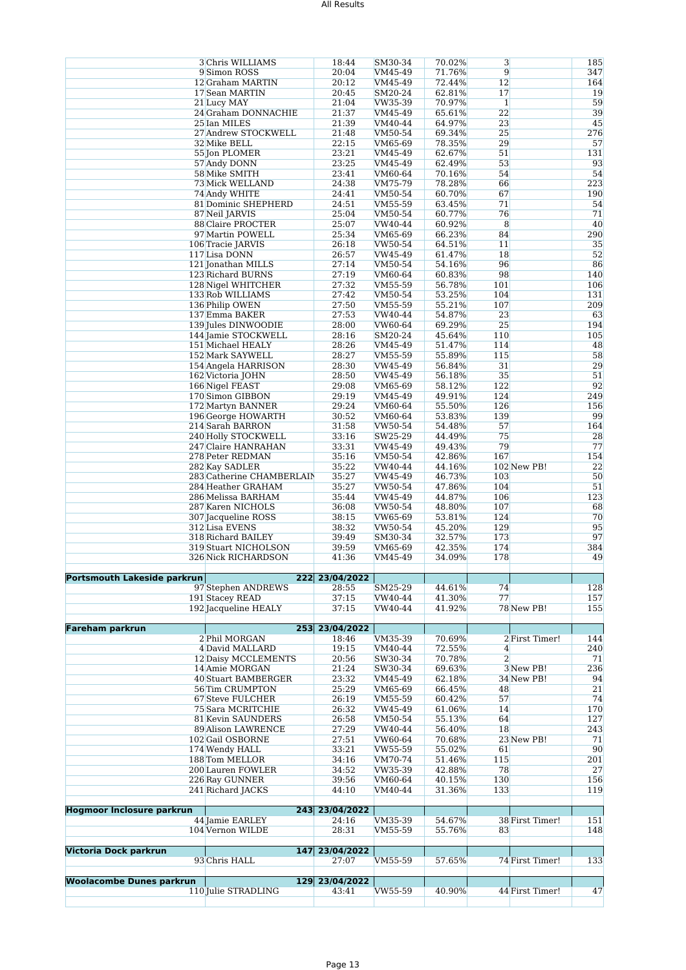|                                  | 3 Chris WILLIAMS                            | 18:44                   | SM30-34            | 70.02%           | 3              |                 | 185        |
|----------------------------------|---------------------------------------------|-------------------------|--------------------|------------------|----------------|-----------------|------------|
|                                  | 9 Simon ROSS                                | 20:04                   | VM45-49            | 71.76%<br>72.44% | $\overline{9}$ |                 | 347        |
|                                  | 12 Graham MARTIN<br>17 Sean MARTIN          | 20:12<br>20:45          | VM45-49<br>SM20-24 | 62.81%           | 12<br>17       |                 | 164<br>19  |
|                                  | 21 Lucy MAY                                 | 21:04                   | VW35-39            | 70.97%           | $\mathbf{1}$   |                 | 59         |
|                                  | 24 Graham DONNACHIE                         | 21:37                   | VM45-49            | 65.61%           | 22             |                 | 39         |
|                                  | 25 Ian MILES                                | 21:39                   | VM40-44            | 64.97%           | 23             |                 | 45         |
|                                  | 27 Andrew STOCKWELL                         | 21:48                   | VM50-54            | 69.34%           | 25             |                 | 276        |
|                                  | 32 Mike BELL                                | 22:15                   | VM65-69            | 78.35%           | 29             |                 | 57         |
|                                  | 55 Jon PLOMER                               | 23:21                   | VM45-49            | 62.67%           | 51             |                 | 131        |
|                                  | 57 Andy DONN                                | 23:25                   | VM45-49            | 62.49%           | 53             |                 | 93         |
|                                  | 58 Mike SMITH                               | 23:41                   | VM60-64            | 70.16%           | 54             |                 | 54         |
|                                  | 73 Mick WELLAND                             | 24:38                   | VM75-79            | 78.28%           | 66             |                 | 223        |
|                                  | 74 Andy WHITE                               | 24:41                   | VM50-54            | 60.70%           | 67             |                 | 190        |
|                                  | 81 Dominic SHEPHERD                         | 24:51                   | VM55-59            | 63.45%           | 71             |                 | 54         |
|                                  | 87 Neil JARVIS                              | 25:04                   | VM50-54            | 60.77%           | 76             |                 | 71         |
|                                  | 88 Claire PROCTER                           | 25:07                   | VW40-44            | 60.92%           | 8              |                 | 40         |
|                                  | 97 Martin POWELL                            | 25:34                   | VM65-69            | 66.23%           | 84             |                 | 290        |
|                                  | 106 Tracie JARVIS                           | 26:18                   | VW50-54            | 64.51%           | 11             |                 | 35         |
|                                  | 117 Lisa DONN                               | 26:57                   | VW45-49            | 61.47%           | 18             |                 | 52         |
|                                  | 121 Jonathan MILLS                          | 27:14<br>27:19          | VM50-54            | 54.16%<br>60.83% | 96<br>98       |                 | 86<br>140  |
|                                  | 123 Richard BURNS<br>128 Nigel WHITCHER     | 27:32                   | VM60-64<br>VM55-59 | 56.78%           | 101            |                 | 106        |
|                                  | 133 Rob WILLIAMS                            | 27:42                   | VM50-54            | 53.25%           | 104            |                 | 131        |
|                                  | 136 Philip OWEN                             | 27:50                   | VM55-59            | 55.21%           | 107            |                 | 209        |
|                                  | 137 Emma BAKER                              | 27:53                   | VW40-44            | 54.87%           | 23             |                 | 63         |
|                                  | 139 Jules DINWOODIE                         | 28:00                   | VW60-64            | 69.29%           | 25             |                 | 194        |
|                                  | 144 Jamie STOCKWELL                         | 28:16                   | SM20-24            | 45.64%           | 110            |                 | 105        |
|                                  | 151 Michael HEALY                           | 28:26                   | VM45-49            | 51.47%           | 114            |                 | 48         |
|                                  | 152 Mark SAYWELL                            | 28:27                   | VM55-59            | 55.89%           | 115            |                 | 58         |
|                                  | 154 Angela HARRISON                         | 28:30                   | VW45-49            | 56.84%           | 31             |                 | 29         |
|                                  | 162 Victoria JOHN                           | 28:50                   | VW45-49            | 56.18%           | 35             |                 | 51         |
|                                  | 166 Nigel FEAST                             | 29:08                   | VM65-69            | 58.12%           | 122            |                 | 92         |
|                                  | 170 Simon GIBBON                            | 29:19                   | VM45-49            | 49.91%           | 124            |                 | 249        |
|                                  | 172 Martyn BANNER                           | 29:24                   | VM60-64            | 55.50%           | 126            |                 | 156        |
|                                  | 196 George HOWARTH                          | 30:52                   | VM60-64            | 53.83%           | 139            |                 | 99         |
|                                  | 214 Sarah BARRON                            | 31:58                   | VW50-54            | 54.48%           | 57             |                 | 164        |
|                                  | 240 Holly STOCKWELL                         | 33:16                   | SW25-29            | 44.49%           | 75             |                 | 28         |
|                                  | 247 Claire HANRAHAN                         | 33:31                   | VW45-49            | 49.43%           | 79             |                 | 77         |
|                                  | 278 Peter REDMAN                            | 35:16<br>35:22          | VM50-54            | 42.86%           | 167            | 102 New PB!     | 154<br>22  |
|                                  | 282 Kay SADLER<br>283 Catherine CHAMBERLAIN | 35:27                   | VW40-44<br>VW45-49 | 44.16%<br>46.73% | 103            |                 | 50         |
|                                  | 284 Heather GRAHAM                          | 35:27                   | VW50-54            | 47.86%           | 104            |                 | 51         |
|                                  | 286 Melissa BARHAM                          | 35:44                   | VW45-49            | 44.87%           | 106            |                 | 123        |
|                                  | 287 Karen NICHOLS                           | 36:08                   | VW50-54            | 48.80%           | 107            |                 | 68         |
|                                  | 307 Jacqueline ROSS                         | 38:15                   | VW65-69            | 53.81%           | 124            |                 | 70         |
|                                  | 312 Lisa EVENS                              | 38:32                   | VW50-54            | 45.20%           | 129            |                 | 95         |
|                                  | 318 Richard BAILEY                          | 39:49                   | SM30-34            | 32.57%           | 173            |                 | 97         |
|                                  | 319 Stuart NICHOLSON                        | 39:59                   | VM65-69            | 42.35%           | 174            |                 | 384        |
|                                  | 326 Nick RICHARDSON                         | 41:36                   | VM45-49            | 34.09%           | 178            |                 | 49         |
|                                  |                                             |                         |                    |                  |                |                 |            |
| Portsmouth Lakeside parkrun      | 97 Stephen ANDREWS                          | 222 23/04/2022<br>28:55 | SM25-29            | 44.61%           | 74             |                 | 128        |
|                                  | <b>191 Stacey READ</b>                      | 37:15                   | VW40-44            | 41.30%           | 77             |                 | 157        |
|                                  | 192 Jacqueline HEALY                        | 37:15                   | VW40-44            | 41.92%           |                | 78 New PB!      | 155        |
|                                  |                                             |                         |                    |                  |                |                 |            |
| <b>Fareham parkrun</b>           | 253                                         | 23/04/2022              |                    |                  |                |                 |            |
|                                  | 2 Phil MORGAN                               | 18:46                   | VM35-39            | 70.69%           |                | 2 First Timer!  | 144        |
|                                  | 4 David MALLARD                             | 19:15                   | VM40-44            | 72.55%           | $\overline{4}$ |                 | 240        |
|                                  | <b>12 Daisy MCCLEMENTS</b>                  | 20:56                   | SW30-34            | 70.78%           | $\overline{2}$ |                 | 71         |
|                                  | 14 Amie MORGAN                              | 21:24                   | SW30-34            | 69.63%           |                | 3 New PB!       | 236        |
|                                  | 40 Stuart BAMBERGER                         | 23:32                   | VM45-49            | 62.18%           |                | 34 New PB!      | 94         |
|                                  | 56 Tim CRUMPTON                             | 25:29                   | VM65-69            | 66.45%           | 48             |                 | 21         |
|                                  | 67 Steve FULCHER                            | 26:19                   | VM55-59            | 60.42%           | 57             |                 | 74         |
|                                  | 75 Sara MCRITCHIE                           | 26:32                   | VW45-49<br>VM50-54 | 61.06%<br>55.13% | 14<br>64       |                 | 170<br>127 |
|                                  | 81 Kevin SAUNDERS<br>89 Alison LAWRENCE     | 26:58<br>27:29          | VW40-44            | 56.40%           | 18             |                 | 243        |
|                                  | 102 Gail OSBORNE                            | 27:51                   | VW60-64            | 70.68%           |                | 23 New PB!      | 71         |
|                                  | 174 Wendy HALL                              | 33:21                   | VW55-59            | 55.02%           | 61             |                 | 90         |
|                                  | 188 Tom MELLOR                              | 34:16                   | VM70-74            | 51.46%           | 115            |                 | 201        |
|                                  | 200 Lauren FOWLER                           | 34:52                   | VW35-39            | 42.88%           | 78             |                 | 27         |
|                                  | 226 Ray GUNNER                              | 39:56                   | VM60-64            | 40.15%           | 130            |                 | 156        |
|                                  | 241 Richard JACKS                           | 44:10                   | VM40-44            | 31.36%           | 133            |                 | 119        |
|                                  |                                             |                         |                    |                  |                |                 |            |
| <b>Hogmoor Inclosure parkrun</b> |                                             | 243 23/04/2022          |                    |                  |                |                 |            |
|                                  | 44 Jamie EARLEY                             | 24:16                   | VM35-39            | 54.67%           |                | 38 First Timer! | 151        |
|                                  | 104 Vernon WILDE                            | 28:31                   | VM55-59            | 55.76%           | 83             |                 | 148        |
| Victoria Dock parkrun            | 147                                         | 23/04/2022              |                    |                  |                |                 |            |
|                                  | 93 Chris HALL                               | 27:07                   | VM55-59            | 57.65%           |                | 74 First Timer! | 133        |
|                                  |                                             |                         |                    |                  |                |                 |            |
| <b>Woolacombe Dunes parkrun</b>  | 129                                         | 23/04/2022              |                    |                  |                |                 |            |
|                                  | 110 Julie STRADLING                         | 43:41                   | VW55-59            | 40.90%           |                | 44 First Timer! | 47         |
|                                  |                                             |                         |                    |                  |                |                 |            |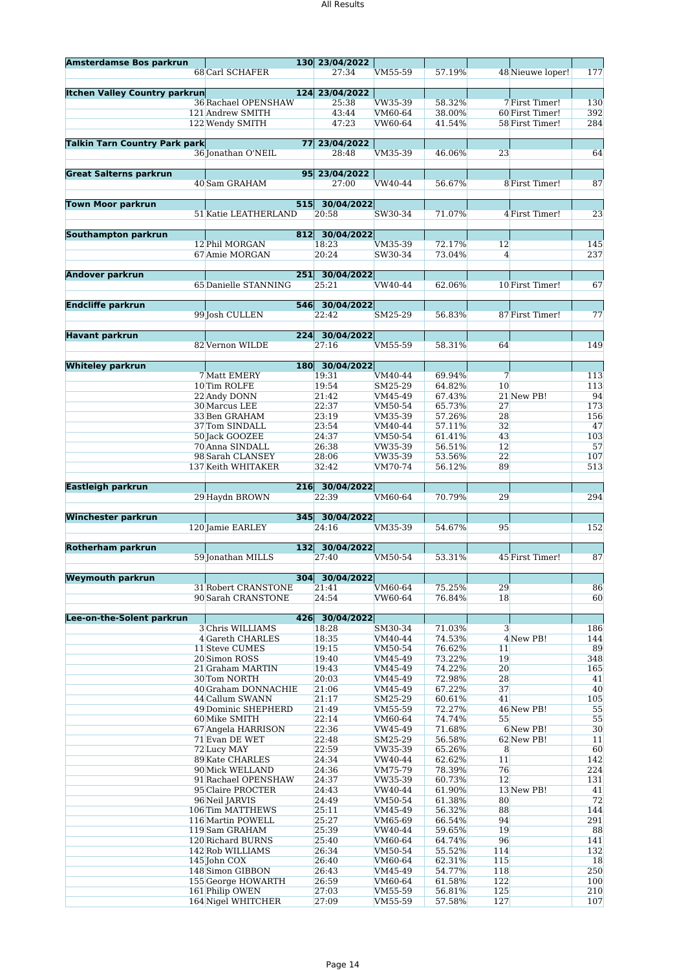| <b>Amsterdamse Bos parkrun</b>       |                                       | 130 23/04/2022 |                    |                  |                      |                  |            |
|--------------------------------------|---------------------------------------|----------------|--------------------|------------------|----------------------|------------------|------------|
|                                      | 68 Carl SCHAFER                       | 27:34          | VM55-59            | 57.19%           |                      | 48 Nieuwe loper! | 177        |
|                                      |                                       |                |                    |                  |                      |                  |            |
| <b>Itchen Valley Country parkrun</b> |                                       | 124 23/04/2022 |                    |                  |                      |                  |            |
|                                      | 36 Rachael OPENSHAW                   | 25:38          | VW35-39            | 58.32%           |                      | 7 First Timer!   | 130        |
|                                      | 121 Andrew SMITH                      | 43:44          | VM60-64            | 38.00%           |                      | 60 First Timer!  | 392        |
|                                      | 122 Wendy SMITH                       | 47:23          | VW60-64            | 41.54%           |                      | 58 First Timer!  | 284        |
|                                      |                                       |                |                    |                  |                      |                  |            |
| <b>Talkin Tarn Country Park park</b> |                                       | 77 23/04/2022  |                    |                  |                      |                  |            |
|                                      | 36 Jonathan O'NEIL                    | 28:48          | VM35-39            | 46.06%           | 23                   |                  | 64         |
|                                      |                                       |                |                    |                  |                      |                  |            |
| <b>Great Salterns parkrun</b>        |                                       | 95 23/04/2022  |                    |                  |                      |                  |            |
|                                      | 40 Sam GRAHAM                         | 27:00          | VW40-44            | 56.67%           |                      | 8 First Timer!   | 87         |
|                                      |                                       |                |                    |                  |                      |                  |            |
| <b>Town Moor parkrun</b>             | 515                                   | 30/04/2022     |                    |                  |                      |                  |            |
|                                      | 51 Katie LEATHERLAND                  | 20:58          | SW30-34            | 71.07%           |                      | 4 First Timer!   | 23         |
|                                      |                                       |                |                    |                  |                      |                  |            |
| Southampton parkrun                  |                                       | 812 30/04/2022 |                    |                  |                      |                  |            |
|                                      | 12 Phil MORGAN                        | 18:23          | VM35-39            | 72.17%           | 12                   |                  | 145        |
|                                      | 67 Amie MORGAN                        | 20:24          | SW30-34            | 73.04%           | $\overline{4}$       |                  | 237        |
|                                      |                                       |                |                    |                  |                      |                  |            |
| <b>Andover parkrun</b>               |                                       | 251 30/04/2022 |                    |                  |                      |                  |            |
|                                      | 65 Danielle STANNING                  | 25:21          | VW40-44            | 62.06%           |                      | 10 First Timer!  | 67         |
|                                      |                                       |                |                    |                  |                      |                  |            |
| <b>Endcliffe parkrun</b>             | 546                                   | 30/04/2022     |                    |                  |                      |                  |            |
|                                      | 99 Josh CULLEN                        |                | SM25-29            | 56.83%           |                      | 87 First Timer!  | 77         |
|                                      |                                       | 22:42          |                    |                  |                      |                  |            |
| <b>Havant parkrun</b>                |                                       |                |                    |                  |                      |                  |            |
|                                      |                                       | 224 30/04/2022 |                    |                  |                      |                  | 149        |
|                                      | 82 Vernon WILDE                       | 27:16          | VM55-59            | 58.31%           | 64                   |                  |            |
|                                      |                                       |                |                    |                  |                      |                  |            |
| <b>Whiteley parkrun</b>              |                                       | 180 30/04/2022 |                    |                  |                      |                  |            |
|                                      | 7 Matt EMERY<br>10 Tim ROLFE          | 19:31<br>19:54 | VM40-44<br>SM25-29 | 69.94%<br>64.82% | $\overline{7}$<br>10 |                  | 113<br>113 |
|                                      |                                       |                |                    |                  |                      |                  |            |
|                                      | 22 Andy DONN                          | 21:42          | VM45-49            | 67.43%           |                      | 21 New PB!       | 94         |
|                                      | 30 Marcus LEE                         | 22:37          | VM50-54            | 65.73%           | 27                   |                  | 173        |
|                                      | 33 Ben GRAHAM                         | 23:19          | VM35-39            | 57.26%           | 28                   |                  | 156        |
|                                      | 37Tom SINDALL                         | 23:54          | VM40-44            | 57.11%           | 32                   |                  | 47         |
|                                      | 50 Jack GOOZEE                        | 24:37          | VM50-54            | 61.41%           | 43                   |                  | 103        |
|                                      | 70 Anna SINDALL                       | 26:38          | VW35-39            | 56.51%           | 12                   |                  | 57         |
|                                      | 98 Sarah CLANSEY                      | 28:06          | VW35-39            | 53.56%           | 22                   |                  | 107        |
|                                      | 137 Keith WHITAKER                    | 32:42          | VM70-74            | 56.12%           | 89                   |                  | 513        |
|                                      |                                       |                |                    |                  |                      |                  |            |
| Eastleigh parkrun                    | 216                                   | 30/04/2022     |                    |                  |                      |                  |            |
|                                      | 29 Haydn BROWN                        | 22:39          | VM60-64            | 70.79%           | 29                   |                  | 294        |
|                                      |                                       |                |                    |                  |                      |                  |            |
|                                      |                                       |                |                    |                  |                      |                  |            |
| <b>Winchester parkrun</b>            |                                       | 345 30/04/2022 |                    |                  |                      |                  |            |
|                                      | 120 Jamie EARLEY                      | 24:16          | VM35-39            | 54.67%           | 95                   |                  | 152        |
|                                      |                                       |                |                    |                  |                      |                  |            |
| <b>Rotherham parkrun</b>             |                                       | 132 30/04/2022 |                    |                  |                      |                  |            |
|                                      | 59 Jonathan MILLS                     | 27:40          | VM50-54            | 53.31%           |                      | 45 First Timer!  | 87         |
|                                      |                                       |                |                    |                  |                      |                  |            |
| <b>Weymouth parkrun</b>              |                                       | 304 30/04/2022 |                    |                  |                      |                  |            |
|                                      | <b>31 Robert CRANSTONE</b>            | 21:41          | VM60-64            | 75.25%           | 29                   |                  |            |
|                                      | 90 Sarah CRANSTONE                    | 24:54          | <b>VW60-64</b>     | 76.84%           | 18                   |                  | 60         |
|                                      |                                       |                |                    |                  |                      |                  |            |
| Lee-on-the-Solent parkrun            | 426                                   | 30/04/2022     |                    |                  |                      |                  |            |
|                                      | 3 Chris WILLIAMS                      | 18:28          | SM30-34            | 71.03%           | $\overline{3}$       |                  | 86<br>186  |
|                                      | 4 Gareth CHARLES                      | 18:35          | VM40-44            | 74.53%           |                      | 4 New PB!        | 144        |
|                                      | 11 Steve CUMES                        | 19:15          | VM50-54            | 76.62%           | 11                   |                  | 89         |
|                                      | 20 Simon ROSS                         | 19:40          | VM45-49            | 73.22%           | 19                   |                  | 348        |
|                                      | 21 Graham MARTIN                      | 19:43          | VM45-49            | 74.22%           | 20                   |                  | 165        |
|                                      | 30 Tom NORTH                          | 20:03          | VM45-49            | 72.98%           | 28                   |                  | 41         |
|                                      | 40 Graham DONNACHIE                   | 21:06          | VM45-49            | 67.22%           | 37                   |                  | 40         |
|                                      | 44 Callum SWANN                       | 21:17          | SM25-29            | 60.61%           | 41                   |                  | 105        |
|                                      | <b>49 Dominic SHEPHERD</b>            | 21:49          | VM55-59            | 72.27%           |                      | 46 New PB!       | 55         |
|                                      | 60 Mike SMITH                         | 22:14          | VM60-64            | 74.74%           | 55                   |                  | 55         |
|                                      | 67 Angela HARRISON                    | 22:36          | VW45-49            | 71.68%           |                      | 6 New PB!        | 30         |
|                                      | 71 Evan DE WET                        | 22:48          | SM25-29            | 56.58%           |                      | 62 New PB!       | 11         |
|                                      | 72 Lucy MAY                           | 22:59          | VW35-39            | 65.26%           | $\bf{8}$             |                  | 60         |
|                                      | <b>89 Kate CHARLES</b>                | 24:34          | VW40-44            | 62.62%           | 11                   |                  | 142        |
|                                      | 90 Mick WELLAND                       | 24:36          | VM75-79            | 78.39%           | 76                   |                  | 224        |
|                                      | 91 Rachael OPENSHAW                   | 24:37          | VW35-39            | 60.73%           | 12                   |                  | 131        |
|                                      | 95 Claire PROCTER                     | 24:43          | VW40-44            | 61.90%           |                      | 13 New PB!       | 41         |
|                                      | 96 Neil JARVIS                        | 24:49          | VM50-54            | 61.38%           | 80                   |                  | 72         |
|                                      | 106 Tim MATTHEWS                      | 25:11          | VM45-49            | 56.32%           | 88                   |                  | 144        |
|                                      | 116 Martin POWELL                     | 25:27          | VM65-69            | 66.54%           | 94                   |                  | 291        |
|                                      | 119 Sam GRAHAM                        | 25:39          | VW40-44            | 59.65%           | 19                   |                  | 88         |
|                                      | 120 Richard BURNS                     | 25:40          | VM60-64            | 64.74%           | 96                   |                  | 141        |
|                                      | 142 Rob WILLIAMS                      | 26:34          | VM50-54            | 55.52%           | 114                  |                  | 132        |
|                                      | 145 John COX                          | 26:40          | VM60-64            | 62.31%           | 115                  |                  | 18         |
|                                      | 148 Simon GIBBON                      | 26:43          | VM45-49            | 54.77%           | 118                  |                  | 250        |
|                                      | 155 George HOWARTH                    | 26:59          | VM60-64            | 61.58%           | 122                  |                  | 100        |
|                                      | 161 Philip OWEN<br>164 Nigel WHITCHER | 27:03<br>27:09 | VM55-59<br>VM55-59 | 56.81%<br>57.58% | 125<br>127           |                  | 210<br>107 |